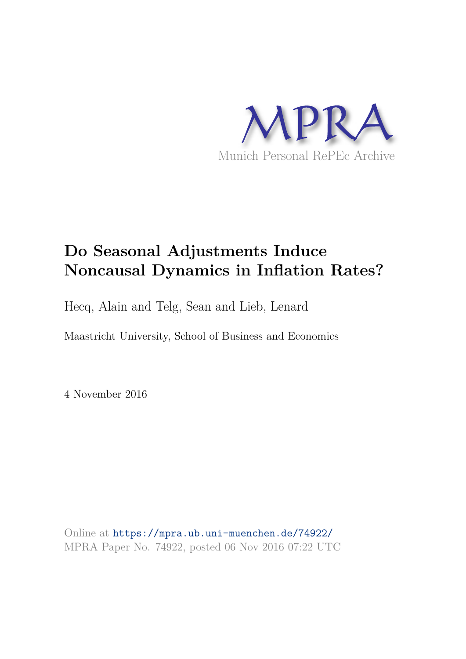

## **Do Seasonal Adjustments Induce Noncausal Dynamics in Inflation Rates?**

Hecq, Alain and Telg, Sean and Lieb, Lenard

Maastricht University, School of Business and Economics

4 November 2016

Online at https://mpra.ub.uni-muenchen.de/74922/ MPRA Paper No. 74922, posted 06 Nov 2016 07:22 UTC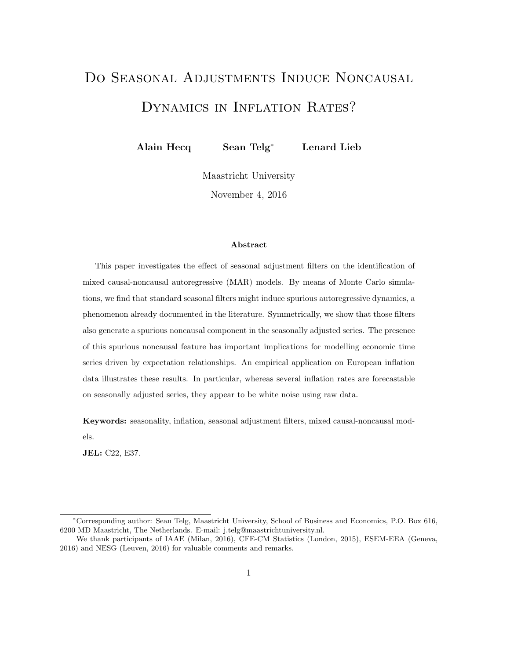# Do Seasonal Adjustments Induce Noncausal DYNAMICS IN INFLATION RATES?

Alain Hecq Sean Telg<sup>∗</sup> Lenard Lieb

Maastricht University November 4, 2016

#### Abstract

This paper investigates the effect of seasonal adjustment filters on the identification of mixed causal-noncausal autoregressive (MAR) models. By means of Monte Carlo simulations, we find that standard seasonal filters might induce spurious autoregressive dynamics, a phenomenon already documented in the literature. Symmetrically, we show that those filters also generate a spurious noncausal component in the seasonally adjusted series. The presence of this spurious noncausal feature has important implications for modelling economic time series driven by expectation relationships. An empirical application on European inflation data illustrates these results. In particular, whereas several inflation rates are forecastable on seasonally adjusted series, they appear to be white noise using raw data.

Keywords: seasonality, inflation, seasonal adjustment filters, mixed causal-noncausal models.

JEL: C22, E37.

<sup>∗</sup>Corresponding author: Sean Telg, Maastricht University, School of Business and Economics, P.O. Box 616, 6200 MD Maastricht, The Netherlands. E-mail: j.telg@maastrichtuniversity.nl.

We thank participants of IAAE (Milan, 2016), CFE-CM Statistics (London, 2015), ESEM-EEA (Geneva, 2016) and NESG (Leuven, 2016) for valuable comments and remarks.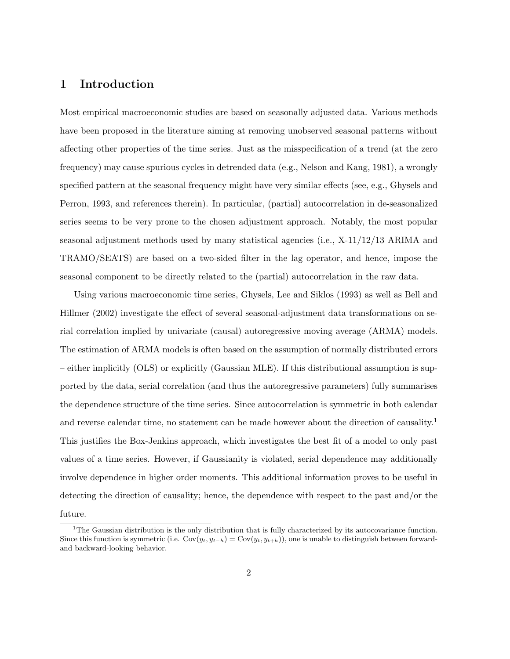## 1 Introduction

Most empirical macroeconomic studies are based on seasonally adjusted data. Various methods have been proposed in the literature aiming at removing unobserved seasonal patterns without affecting other properties of the time series. Just as the misspecification of a trend (at the zero frequency) may cause spurious cycles in detrended data (e.g., Nelson and Kang, 1981), a wrongly specified pattern at the seasonal frequency might have very similar effects (see, e.g., Ghysels and Perron, 1993, and references therein). In particular, (partial) autocorrelation in de-seasonalized series seems to be very prone to the chosen adjustment approach. Notably, the most popular seasonal adjustment methods used by many statistical agencies (i.e., X-11/12/13 ARIMA and TRAMO/SEATS) are based on a two-sided filter in the lag operator, and hence, impose the seasonal component to be directly related to the (partial) autocorrelation in the raw data.

Using various macroeconomic time series, Ghysels, Lee and Siklos (1993) as well as Bell and Hillmer (2002) investigate the effect of several seasonal-adjustment data transformations on serial correlation implied by univariate (causal) autoregressive moving average (ARMA) models. The estimation of ARMA models is often based on the assumption of normally distributed errors – either implicitly (OLS) or explicitly (Gaussian MLE). If this distributional assumption is supported by the data, serial correlation (and thus the autoregressive parameters) fully summarises the dependence structure of the time series. Since autocorrelation is symmetric in both calendar and reverse calendar time, no statement can be made however about the direction of causality.<sup>1</sup> This justifies the Box-Jenkins approach, which investigates the best fit of a model to only past values of a time series. However, if Gaussianity is violated, serial dependence may additionally involve dependence in higher order moments. This additional information proves to be useful in detecting the direction of causality; hence, the dependence with respect to the past and/or the future.

 $1$ <sup>1</sup>The Gaussian distribution is the only distribution that is fully characterized by its autocovariance function. Since this function is symmetric (i.e.  $Cov(y_t, y_{t-h}) = Cov(y_t, y_{t+h})$ ), one is unable to distinguish between forwardand backward-looking behavior.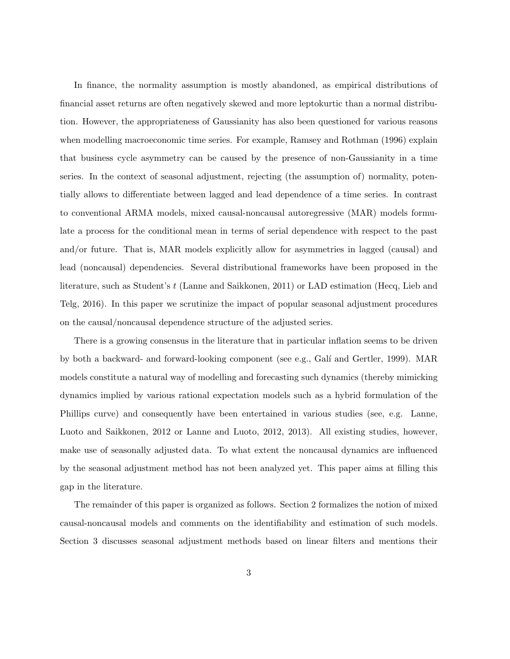In finance, the normality assumption is mostly abandoned, as empirical distributions of financial asset returns are often negatively skewed and more leptokurtic than a normal distribution. However, the appropriateness of Gaussianity has also been questioned for various reasons when modelling macroeconomic time series. For example, Ramsey and Rothman (1996) explain that business cycle asymmetry can be caused by the presence of non-Gaussianity in a time series. In the context of seasonal adjustment, rejecting (the assumption of) normality, potentially allows to differentiate between lagged and lead dependence of a time series. In contrast to conventional ARMA models, mixed causal-noncausal autoregressive (MAR) models formulate a process for the conditional mean in terms of serial dependence with respect to the past and/or future. That is, MAR models explicitly allow for asymmetries in lagged (causal) and lead (noncausal) dependencies. Several distributional frameworks have been proposed in the literature, such as Student's t (Lanne and Saikkonen, 2011) or LAD estimation (Hecq, Lieb and Telg, 2016). In this paper we scrutinize the impact of popular seasonal adjustment procedures on the causal/noncausal dependence structure of the adjusted series.

There is a growing consensus in the literature that in particular inflation seems to be driven by both a backward- and forward-looking component (see e.g., Gal´ı and Gertler, 1999). MAR models constitute a natural way of modelling and forecasting such dynamics (thereby mimicking dynamics implied by various rational expectation models such as a hybrid formulation of the Phillips curve) and consequently have been entertained in various studies (see, e.g. Lanne, Luoto and Saikkonen, 2012 or Lanne and Luoto, 2012, 2013). All existing studies, however, make use of seasonally adjusted data. To what extent the noncausal dynamics are influenced by the seasonal adjustment method has not been analyzed yet. This paper aims at filling this gap in the literature.

The remainder of this paper is organized as follows. Section 2 formalizes the notion of mixed causal-noncausal models and comments on the identifiability and estimation of such models. Section 3 discusses seasonal adjustment methods based on linear filters and mentions their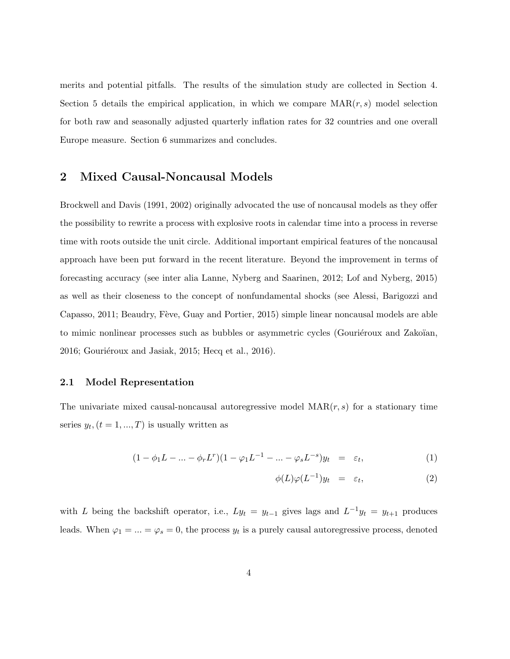merits and potential pitfalls. The results of the simulation study are collected in Section 4. Section 5 details the empirical application, in which we compare  $\text{MAR}(r, s)$  model selection for both raw and seasonally adjusted quarterly inflation rates for 32 countries and one overall Europe measure. Section 6 summarizes and concludes.

## 2 Mixed Causal-Noncausal Models

Brockwell and Davis (1991, 2002) originally advocated the use of noncausal models as they offer the possibility to rewrite a process with explosive roots in calendar time into a process in reverse time with roots outside the unit circle. Additional important empirical features of the noncausal approach have been put forward in the recent literature. Beyond the improvement in terms of forecasting accuracy (see inter alia Lanne, Nyberg and Saarinen, 2012; Lof and Nyberg, 2015) as well as their closeness to the concept of nonfundamental shocks (see Alessi, Barigozzi and Capasso, 2011; Beaudry, Fève, Guay and Portier, 2015) simple linear noncausal models are able to mimic nonlinear processes such as bubbles or asymmetric cycles (Gouriéroux and Zakoïan,  $2016$ ; Gouriéroux and Jasiak,  $2015$ ; Hecq et al.,  $2016$ ).

### 2.1 Model Representation

The univariate mixed causal-noncausal autoregressive model  $\text{MAR}(r, s)$  for a stationary time series  $y_t$ ,  $(t = 1, ..., T)$  is usually written as

$$
(1 - \phi_1 L - \dots - \phi_r L^r)(1 - \varphi_1 L^{-1} - \dots - \varphi_s L^{-s})y_t = \varepsilon_t, \tag{1}
$$

$$
\phi(L)\varphi(L^{-1})y_t = \varepsilon_t, \qquad (2)
$$

with L being the backshift operator, i.e.,  $Ly_t = y_{t-1}$  gives lags and  $L^{-1}y_t = y_{t+1}$  produces leads. When  $\varphi_1 = ... = \varphi_s = 0$ , the process  $y_t$  is a purely causal autoregressive process, denoted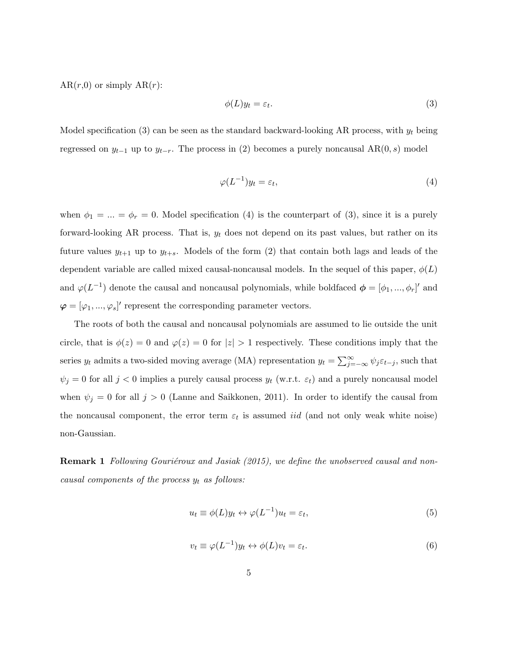$AR(r,0)$  or simply  $AR(r)$ :

$$
\phi(L)y_t = \varepsilon_t. \tag{3}
$$

Model specification (3) can be seen as the standard backward-looking AR process, with  $y_t$  being regressed on  $y_{t-1}$  up to  $y_{t-r}$ . The process in (2) becomes a purely noncausal AR(0, s) model

$$
\varphi(L^{-1})y_t = \varepsilon_t,\tag{4}
$$

when  $\phi_1 = ... = \phi_r = 0$ . Model specification (4) is the counterpart of (3), since it is a purely forward-looking AR process. That is,  $y_t$  does not depend on its past values, but rather on its future values  $y_{t+1}$  up to  $y_{t+s}$ . Models of the form (2) that contain both lags and leads of the dependent variable are called mixed causal-noncausal models. In the sequel of this paper,  $\phi(L)$ and  $\varphi(L^{-1})$  denote the causal and noncausal polynomials, while boldfaced  $\phi = [\phi_1, ..., \phi_r]'$  and  $\boldsymbol{\varphi} = [\varphi_1, ..., \varphi_s]'$  represent the corresponding parameter vectors.

The roots of both the causal and noncausal polynomials are assumed to lie outside the unit circle, that is  $\phi(z) = 0$  and  $\varphi(z) = 0$  for  $|z| > 1$  respectively. These conditions imply that the series  $y_t$  admits a two-sided moving average (MA) representation  $y_t = \sum_{j=-\infty}^{\infty} \psi_j \varepsilon_{t-j}$ , such that  $\psi_j = 0$  for all  $j < 0$  implies a purely causal process  $y_t$  (w.r.t.  $\varepsilon_t$ ) and a purely noncausal model when  $\psi_j = 0$  for all  $j > 0$  (Lanne and Saikkonen, 2011). In order to identify the causal from the noncausal component, the error term  $\varepsilon_t$  is assumed *iid* (and not only weak white noise) non-Gaussian.

**Remark 1** *Following Gouriéroux and Jasiak (2015), we define the unobserved causal and noncausal components of the process*  $y_t$  *as follows:* 

$$
u_t \equiv \phi(L)y_t \leftrightarrow \varphi(L^{-1})u_t = \varepsilon_t,\tag{5}
$$

$$
v_t \equiv \varphi(L^{-1})y_t \leftrightarrow \phi(L)v_t = \varepsilon_t.
$$
\n<sup>(6)</sup>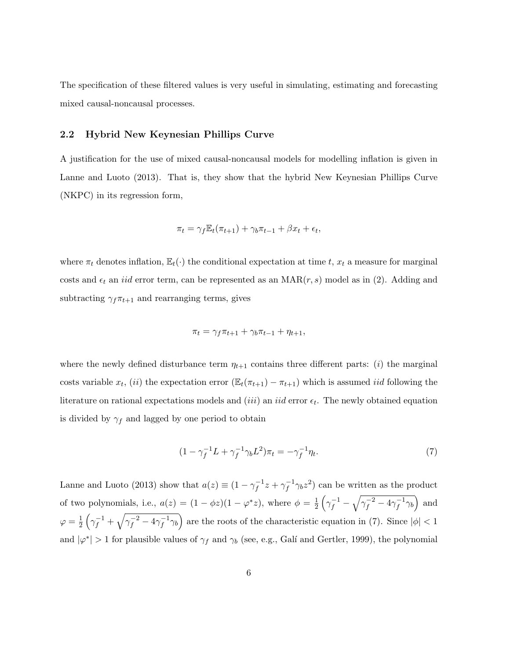The specification of these filtered values is very useful in simulating, estimating and forecasting mixed causal-noncausal processes.

### 2.2 Hybrid New Keynesian Phillips Curve

A justification for the use of mixed causal-noncausal models for modelling inflation is given in Lanne and Luoto (2013). That is, they show that the hybrid New Keynesian Phillips Curve (NKPC) in its regression form,

$$
\pi_t = \gamma_f \mathbb{E}_t(\pi_{t+1}) + \gamma_b \pi_{t-1} + \beta x_t + \epsilon_t,
$$

where  $\pi_t$  denotes inflation,  $\mathbb{E}_t(\cdot)$  the conditional expectation at time t,  $x_t$  a measure for marginal costs and  $\epsilon_t$  an *iid* error term, can be represented as an  $\text{MAR}(r, s)$  model as in (2). Adding and subtracting  $\gamma_f \pi_{t+1}$  and rearranging terms, gives

$$
\pi_t = \gamma_f \pi_{t+1} + \gamma_b \pi_{t-1} + \eta_{t+1},
$$

where the newly defined disturbance term  $\eta_{t+1}$  contains three different parts: *(i)* the marginal costs variable  $x_t$ , (ii) the expectation error  $(\mathbb{E}_t(\pi_{t+1}) - \pi_{t+1})$  which is assumed *iid* following the literature on rational expectations models and  $(iii)$  an  $iid$  error  $\epsilon_t$ . The newly obtained equation is divided by  $\gamma_f$  and lagged by one period to obtain

$$
(1 - \gamma_f^{-1}L + \gamma_f^{-1}\gamma_b L^2)\pi_t = -\gamma_f^{-1}\eta_t.
$$
\n(7)

Lanne and Luoto (2013) show that  $a(z) \equiv (1 - \gamma_f^{-1})$  $\zeta_f^{-1} z + \gamma_f^{-1}$  $\int_{f}^{-1} \gamma_b z^2$  can be written as the product of two polynomials, i.e.,  $a(z) = (1 - \phi z)(1 - \varphi^* z)$ , where  $\phi = \frac{1}{2}$  $\frac{1}{2}\left(\gamma_f^{-1}-\sqrt{\gamma_f^{-2}-4\gamma_f^{-1}}\right)$  $\left(\overline{f}^{-1}\gamma_b\right)$  and  $\varphi = \frac{1}{2}$  $\frac{1}{2}\left(\gamma_f^{-1}+\sqrt{\gamma_f^{-2}-4\gamma_f^{-1}}\right)$  $\left(\frac{-1}{f}\gamma_b\right)$  are the roots of the characteristic equation in (7). Since  $|\phi| < 1$ and  $|\varphi^*| > 1$  for plausible values of  $\gamma_f$  and  $\gamma_b$  (see, e.g., Galí and Gertler, 1999), the polynomial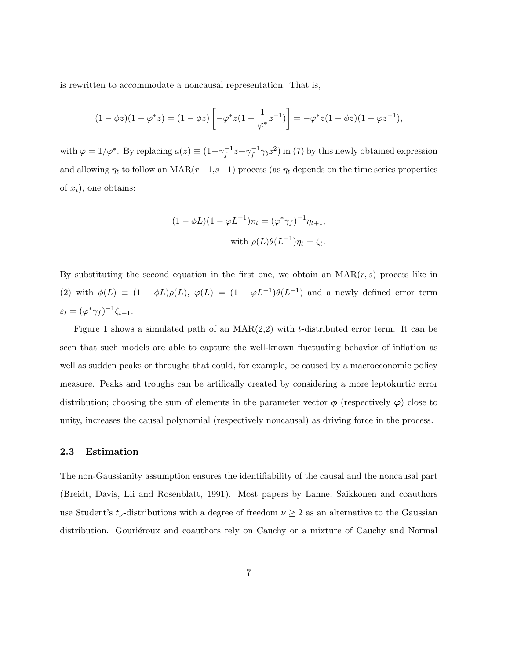is rewritten to accommodate a noncausal representation. That is,

$$
(1 - \phi z)(1 - \varphi^* z) = (1 - \phi z) \left[ -\varphi^* z (1 - \frac{1}{\varphi^*} z^{-1}) \right] = -\varphi^* z (1 - \phi z)(1 - \varphi z^{-1}),
$$

with  $\varphi = 1/\varphi^*$ . By replacing  $a(z) \equiv (1 - \gamma_f^{-1})$  $\frac{1}{f}z + \gamma_f^{-1}$  $\int_{f}^{-1} \gamma_b z^2$ ) in (7) by this newly obtained expression and allowing  $\eta_t$  to follow an MAR( $r-1,s-1$ ) process (as  $\eta_t$  depends on the time series properties of  $x_t$ ), one obtains:

$$
(1 - \phi L)(1 - \varphi L^{-1})\pi_t = (\varphi^* \gamma_f)^{-1} \eta_{t+1},
$$
  
with 
$$
\rho(L)\theta(L^{-1})\eta_t = \zeta_t.
$$

By substituting the second equation in the first one, we obtain an  $\text{MAR}(r, s)$  process like in (2) with  $\phi(L) \equiv (1 - \phi L)\rho(L)$ ,  $\phi(L) = (1 - \phi L^{-1})\theta(L^{-1})$  and a newly defined error term  $\varepsilon_t = (\varphi^* \gamma_f)^{-1} \zeta_{t+1}.$ 

Figure 1 shows a simulated path of an  $MAR(2,2)$  with t-distributed error term. It can be seen that such models are able to capture the well-known fluctuating behavior of inflation as well as sudden peaks or throughs that could, for example, be caused by a macroeconomic policy measure. Peaks and troughs can be artifically created by considering a more leptokurtic error distribution; choosing the sum of elements in the parameter vector  $\phi$  (respectively  $\varphi$ ) close to unity, increases the causal polynomial (respectively noncausal) as driving force in the process.

#### 2.3 Estimation

The non-Gaussianity assumption ensures the identifiability of the causal and the noncausal part (Breidt, Davis, Lii and Rosenblatt, 1991). Most papers by Lanne, Saikkonen and coauthors use Student's  $t_{\nu}$ -distributions with a degree of freedom  $\nu \geq 2$  as an alternative to the Gaussian distribution. Gouriéroux and coauthors rely on Cauchy or a mixture of Cauchy and Normal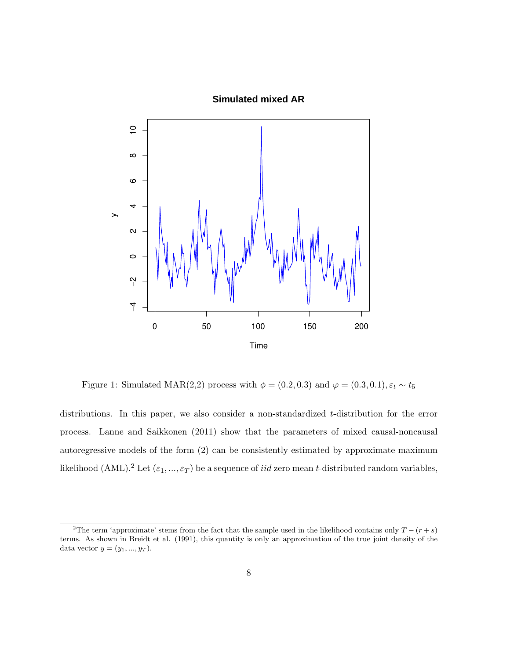#### **Simulated mixed AR**



Figure 1: Simulated MAR(2,2) process with  $\phi=(0.2,0.3)$  and  $\varphi=(0.3,0.1), \varepsilon_t \sim t_5$ 

distributions. In this paper, we also consider a non-standardized t-distribution for the error process. Lanne and Saikkonen (2011) show that the parameters of mixed causal-noncausal autoregressive models of the form (2) can be consistently estimated by approximate maximum likelihood (AML).<sup>2</sup> Let  $(\varepsilon_1, ..., \varepsilon_T)$  be a sequence of *iid* zero mean *t*-distributed random variables,

<sup>&</sup>lt;sup>2</sup>The term 'approximate' stems from the fact that the sample used in the likelihood contains only  $T - (r + s)$ terms. As shown in Breidt et al. (1991), this quantity is only an approximation of the true joint density of the data vector  $y = (y_1, ..., y_T)$ .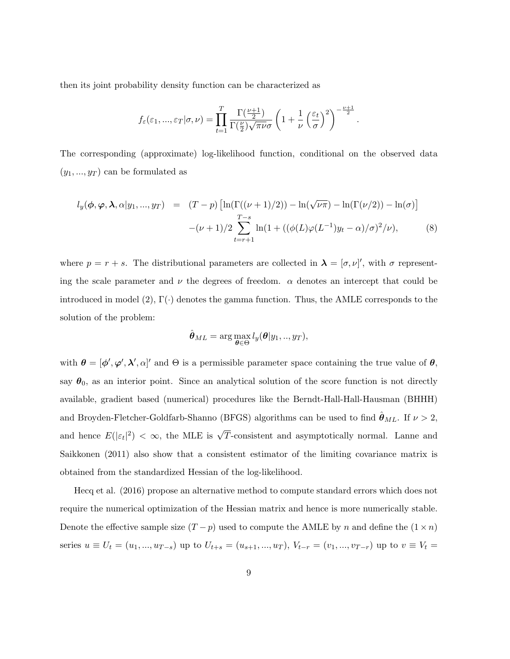then its joint probability density function can be characterized as

$$
f_{\varepsilon}(\varepsilon_1, ..., \varepsilon_T | \sigma, \nu) = \prod_{t=1}^T \frac{\Gamma(\frac{\nu+1}{2})}{\Gamma(\frac{\nu}{2})\sqrt{\pi\nu}\sigma} \left(1 + \frac{1}{\nu} \left(\frac{\varepsilon_t}{\sigma}\right)^2\right)^{-\frac{\nu+1}{2}}.
$$

The corresponding (approximate) log-likelihood function, conditional on the observed data  $(y_1, ..., y_T)$  can be formulated as

$$
l_y(\phi, \varphi, \lambda, \alpha | y_1, ..., y_T) = (T - p) \left[ \ln(\Gamma((\nu + 1)/2)) - \ln(\sqrt{\nu \pi}) - \ln(\Gamma(\nu/2)) - \ln(\sigma) \right]
$$
  

$$
-(\nu + 1)/2 \sum_{t=r+1}^{T-s} \ln(1 + ((\phi(L)\varphi(L^{-1})y_t - \alpha)/\sigma)^2/\nu), \tag{8}
$$

where  $p = r + s$ . The distributional parameters are collected in  $\lambda = [\sigma, \nu]'$ , with  $\sigma$  representing the scale parameter and  $\nu$  the degrees of freedom.  $\alpha$  denotes an intercept that could be introduced in model  $(2)$ ,  $\Gamma(\cdot)$  denotes the gamma function. Thus, the AMLE corresponds to the solution of the problem:

$$
\hat{\boldsymbol{\theta}}_{ML} = \arg \max_{\boldsymbol{\theta} \in \Theta} l_y(\boldsymbol{\theta}|y_1,..,y_T),
$$

with  $\theta = [\phi', \phi', \lambda', \alpha]'$  and  $\Theta$  is a permissible parameter space containing the true value of  $\theta$ , say  $\theta_0$ , as an interior point. Since an analytical solution of the score function is not directly available, gradient based (numerical) procedures like the Berndt-Hall-Hall-Hausman (BHHH) and Broyden-Fletcher-Goldfarb-Shanno (BFGS) algorithms can be used to find  $\hat{\theta}_{ML}$ . If  $\nu > 2$ , and hence  $E(|\varepsilon_t|^2) < \infty$ , the MLE is  $\sqrt{T}$ -consistent and asymptotically normal. Lanne and Saikkonen (2011) also show that a consistent estimator of the limiting covariance matrix is obtained from the standardized Hessian of the log-likelihood.

Hecq et al. (2016) propose an alternative method to compute standard errors which does not require the numerical optimization of the Hessian matrix and hence is more numerically stable. Denote the effective sample size  $(T - p)$  used to compute the AMLE by n and define the  $(1 \times n)$ series  $u \equiv U_t = (u_1, ..., u_{T-s})$  up to  $U_{t+s} = (u_{s+1}, ..., u_T)$ ,  $V_{t-r} = (v_1, ..., v_{T-r})$  up to  $v \equiv V_t =$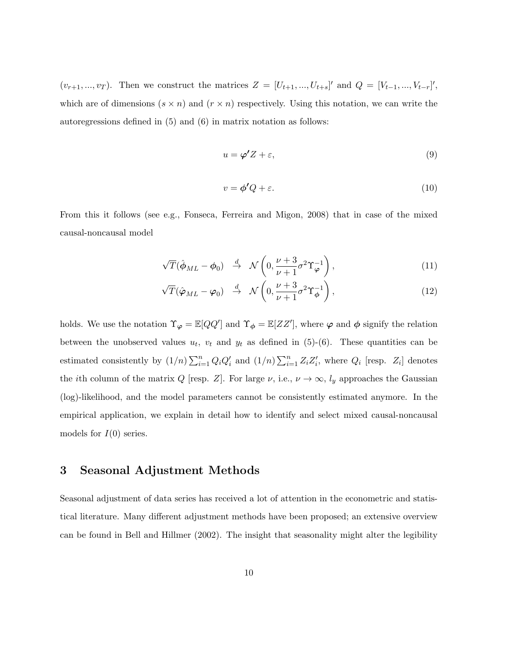$(v_{r+1},...,v_T)$ . Then we construct the matrices  $Z = [U_{t+1},...,U_{t+s}]'$  and  $Q = [V_{t-1},...,V_{t-r}]'$ , which are of dimensions  $(s \times n)$  and  $(r \times n)$  respectively. Using this notation, we can write the autoregressions defined in (5) and (6) in matrix notation as follows:

$$
u = \varphi' Z + \varepsilon,\tag{9}
$$

$$
v = \phi'Q + \varepsilon. \tag{10}
$$

From this it follows (see e.g., Fonseca, Ferreira and Migon, 2008) that in case of the mixed causal-noncausal model

$$
\sqrt{T}(\hat{\boldsymbol{\phi}}_{ML} - \boldsymbol{\phi}_0) \stackrel{d}{\rightarrow} \mathcal{N}\left(0, \frac{\nu + 3}{\nu + 1} \sigma^2 \Upsilon_{\boldsymbol{\varphi}}^{-1}\right),\tag{11}
$$

$$
\sqrt{T}(\hat{\boldsymbol{\varphi}}_{ML} - \boldsymbol{\varphi}_0) \stackrel{d}{\rightarrow} \mathcal{N}\left(0, \frac{\nu + 3}{\nu + 1}\sigma^2 \Upsilon_{\boldsymbol{\phi}}^{-1}\right), \tag{12}
$$

holds. We use the notation  $\Upsilon_{\varphi} = \mathbb{E}[QQ']$  and  $\Upsilon_{\phi} = \mathbb{E}[ZZ']$ , where  $\varphi$  and  $\phi$  signify the relation between the unobserved values  $u_t$ ,  $v_t$  and  $y_t$  as defined in (5)-(6). These quantities can be estimated consistently by  $(1/n)\sum_{i=1}^n Q_iQ_i'$  and  $(1/n)\sum_{i=1}^n Z_iZ_i'$ , where  $Q_i$  [resp.  $Z_i$ ] denotes the *i*th column of the matrix Q [resp. Z]. For large  $\nu$ , i.e.,  $\nu \to \infty$ ,  $l_y$  approaches the Gaussian (log)-likelihood, and the model parameters cannot be consistently estimated anymore. In the empirical application, we explain in detail how to identify and select mixed causal-noncausal models for  $I(0)$  series.

## 3 Seasonal Adjustment Methods

Seasonal adjustment of data series has received a lot of attention in the econometric and statistical literature. Many different adjustment methods have been proposed; an extensive overview can be found in Bell and Hillmer (2002). The insight that seasonality might alter the legibility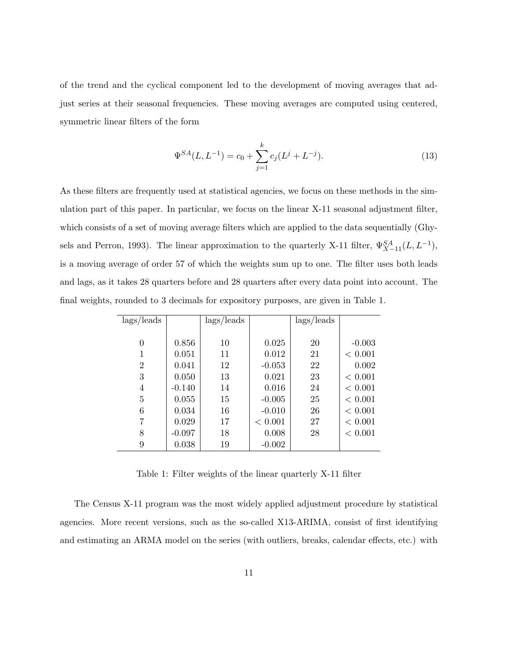of the trend and the cyclical component led to the development of moving averages that adjust series at their seasonal frequencies. These moving averages are computed using centered, symmetric linear filters of the form

$$
\Psi^{SA}(L, L^{-1}) = c_0 + \sum_{j=1}^{k} c_j (L^j + L^{-j}).
$$
\n(13)

As these filters are frequently used at statistical agencies, we focus on these methods in the simulation part of this paper. In particular, we focus on the linear X-11 seasonal adjustment filter, which consists of a set of moving average filters which are applied to the data sequentially (Ghysels and Perron, 1993). The linear approximation to the quarterly X-11 filter,  $\Psi_{X-11}^{SA}(L, L^{-1})$ , is a moving average of order 57 of which the weights sum up to one. The filter uses both leads and lags, as it takes 28 quarters before and 28 quarters after every data point into account. The final weights, rounded to 3 decimals for expository purposes, are given in Table 1.

| lags/leads     |          | lags/leads |          | $\frac{lags}{leads}$ |          |
|----------------|----------|------------|----------|----------------------|----------|
|                |          |            |          |                      |          |
| $\overline{0}$ | 0.856    | 10         | 0.025    | 20                   | $-0.003$ |
| 1              | 0.051    | 11         | 0.012    | 21                   | < 0.001  |
| $\overline{2}$ | 0.041    | 12         | $-0.053$ | 22                   | 0.002    |
| 3              | 0.050    | 13         | 0.021    | 23                   | < 0.001  |
| 4              | $-0.140$ | 14         | 0.016    | 24                   | < 0.001  |
| 5              | 0.055    | 15         | $-0.005$ | 25                   | < 0.001  |
| 6              | 0.034    | 16         | $-0.010$ | 26                   | < 0.001  |
| 7              | 0.029    | 17         | < 0.001  | 27                   | < 0.001  |
| 8              | $-0.097$ | 18         | 0.008    | 28                   | < 0.001  |
| 9              | 0.038    | 19         | $-0.002$ |                      |          |

Table 1: Filter weights of the linear quarterly X-11 filter

The Census X-11 program was the most widely applied adjustment procedure by statistical agencies. More recent versions, such as the so-called X13-ARIMA, consist of first identifying and estimating an ARMA model on the series (with outliers, breaks, calendar effects, etc.) with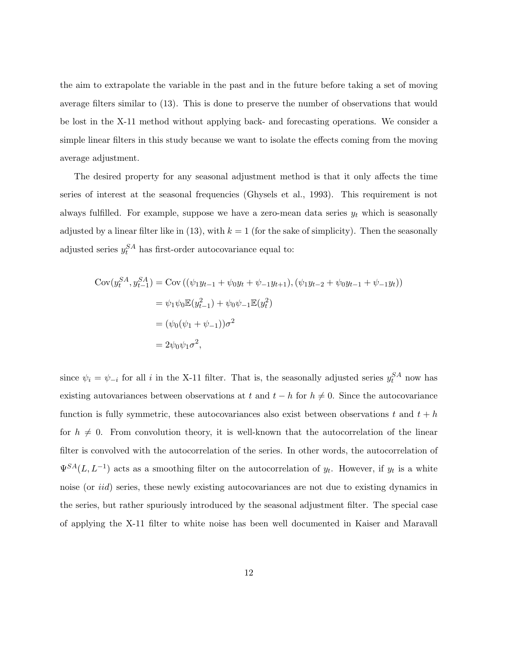the aim to extrapolate the variable in the past and in the future before taking a set of moving average filters similar to (13). This is done to preserve the number of observations that would be lost in the X-11 method without applying back- and forecasting operations. We consider a simple linear filters in this study because we want to isolate the effects coming from the moving average adjustment.

The desired property for any seasonal adjustment method is that it only affects the time series of interest at the seasonal frequencies (Ghysels et al., 1993). This requirement is not always fulfilled. For example, suppose we have a zero-mean data series  $y_t$  which is seasonally adjusted by a linear filter like in (13), with  $k = 1$  (for the sake of simplicity). Then the seasonally adjusted series  $y_t^{SA}$  has first-order autocovariance equal to:

$$
Cov(y_t^{SA}, y_{t-1}^{SA}) = Cov((\psi_1 y_{t-1} + \psi_0 y_t + \psi_{-1} y_{t+1}), (\psi_1 y_{t-2} + \psi_0 y_{t-1} + \psi_{-1} y_t))
$$
  
=  $\psi_1 \psi_0 \mathbb{E}(y_{t-1}^2) + \psi_0 \psi_{-1} \mathbb{E}(y_t^2)$   
=  $(\psi_0(\psi_1 + \psi_{-1}))\sigma^2$   
=  $2\psi_0 \psi_1 \sigma^2$ ,

since  $\psi_i = \psi_{-i}$  for all i in the X-11 filter. That is, the seasonally adjusted series  $y_t^{SA}$  now has existing autovariances between observations at t and  $t - h$  for  $h \neq 0$ . Since the autocovariance function is fully symmetric, these autocovariances also exist between observations t and  $t + h$ for  $h \neq 0$ . From convolution theory, it is well-known that the autocorrelation of the linear filter is convolved with the autocorrelation of the series. In other words, the autocorrelation of  $\Psi^{SA}(L, L^{-1})$  acts as a smoothing filter on the autocorrelation of  $y_t$ . However, if  $y_t$  is a white noise (or *iid*) series, these newly existing autocovariances are not due to existing dynamics in the series, but rather spuriously introduced by the seasonal adjustment filter. The special case of applying the X-11 filter to white noise has been well documented in Kaiser and Maravall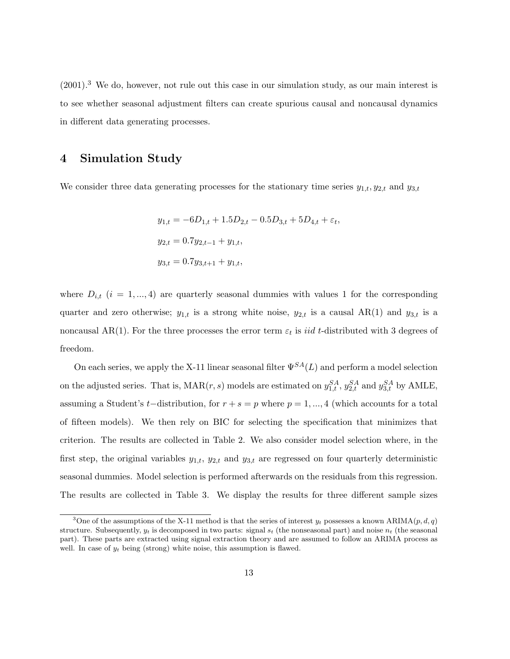(2001).<sup>3</sup> We do, however, not rule out this case in our simulation study, as our main interest is to see whether seasonal adjustment filters can create spurious causal and noncausal dynamics in different data generating processes.

## 4 Simulation Study

We consider three data generating processes for the stationary time series  $y_{1,t}, y_{2,t}$  and  $y_{3,t}$ 

$$
y_{1,t} = -6D_{1,t} + 1.5D_{2,t} - 0.5D_{3,t} + 5D_{4,t} + \varepsilon_t,
$$
  
\n
$$
y_{2,t} = 0.7y_{2,t-1} + y_{1,t},
$$
  
\n
$$
y_{3,t} = 0.7y_{3,t+1} + y_{1,t},
$$

where  $D_{i,t}$  (i = 1, ..., 4) are quarterly seasonal dummies with values 1 for the corresponding quarter and zero otherwise;  $y_{1,t}$  is a strong white noise,  $y_{2,t}$  is a causal AR(1) and  $y_{3,t}$  is a noncausal AR(1). For the three processes the error term  $\varepsilon_t$  is *iid t*-distributed with 3 degrees of freedom.

On each series, we apply the X-11 linear seasonal filter  $\Psi^{SA}(L)$  and perform a model selection on the adjusted series. That is,  $\text{MAR}(r, s)$  models are estimated on  $y_{1,t}^{SA}$ ,  $y_{2,t}^{SA}$  and  $y_{3,t}^{SA}$  by AMLE, assuming a Student's t-distribution, for  $r + s = p$  where  $p = 1, ..., 4$  (which accounts for a total of fifteen models). We then rely on BIC for selecting the specification that minimizes that criterion. The results are collected in Table 2. We also consider model selection where, in the first step, the original variables  $y_{1,t}$ ,  $y_{2,t}$  and  $y_{3,t}$  are regressed on four quarterly deterministic seasonal dummies. Model selection is performed afterwards on the residuals from this regression. The results are collected in Table 3. We display the results for three different sample sizes

<sup>&</sup>lt;sup>3</sup>One of the assumptions of the X-11 method is that the series of interest  $y_t$  possesses a known ARIMA(p, d, q) structure. Subsequently,  $y_t$  is decomposed in two parts: signal  $s_t$  (the nonseasonal part) and noise  $n_t$  (the seasonal part). These parts are extracted using signal extraction theory and are assumed to follow an ARIMA process as well. In case of  $y_t$  being (strong) white noise, this assumption is flawed.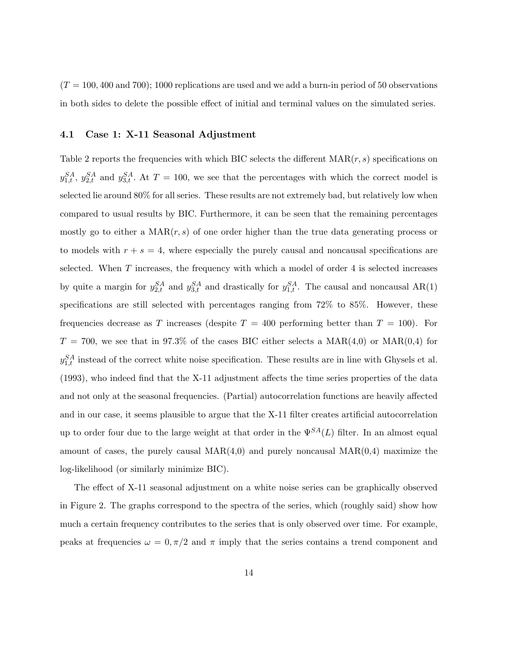$(T = 100, 400, 400, 700)$ ; 1000 replications are used and we add a burn-in period of 50 observations in both sides to delete the possible effect of initial and terminal values on the simulated series.

#### 4.1 Case 1: X-11 Seasonal Adjustment

Table 2 reports the frequencies with which BIC selects the different  $\text{MAR}(r, s)$  specifications on  $y_{1,t}^{SA}$ ,  $y_{2,t}^{SA}$  and  $y_{3,t}^{SA}$ . At  $T = 100$ , we see that the percentages with which the correct model is selected lie around 80% for all series. These results are not extremely bad, but relatively low when compared to usual results by BIC. Furthermore, it can be seen that the remaining percentages mostly go to either a  $\text{MAR}(r, s)$  of one order higher than the true data generating process or to models with  $r + s = 4$ , where especially the purely causal and noncausal specifications are selected. When  $T$  increases, the frequency with which a model of order 4 is selected increases by quite a margin for  $y_{2,t}^{SA}$  and  $y_{3,t}^{SA}$  and drastically for  $y_{1,t}^{SA}$ . The causal and noncausal AR(1) specifications are still selected with percentages ranging from 72% to 85%. However, these frequencies decrease as T increases (despite  $T = 400$  performing better than  $T = 100$ ). For  $T = 700$ , we see that in 97.3% of the cases BIC either selects a MAR(4,0) or MAR(0,4) for  $y_{1,t}^{SA}$  instead of the correct white noise specification. These results are in line with Ghysels et al. (1993), who indeed find that the X-11 adjustment affects the time series properties of the data and not only at the seasonal frequencies. (Partial) autocorrelation functions are heavily affected and in our case, it seems plausible to argue that the X-11 filter creates artificial autocorrelation up to order four due to the large weight at that order in the  $\Psi^{SA}(L)$  filter. In an almost equal amount of cases, the purely causal  $MAR(4,0)$  and purely noncausal  $MAR(0,4)$  maximize the log-likelihood (or similarly minimize BIC).

The effect of X-11 seasonal adjustment on a white noise series can be graphically observed in Figure 2. The graphs correspond to the spectra of the series, which (roughly said) show how much a certain frequency contributes to the series that is only observed over time. For example, peaks at frequencies  $\omega = 0, \pi/2$  and  $\pi$  imply that the series contains a trend component and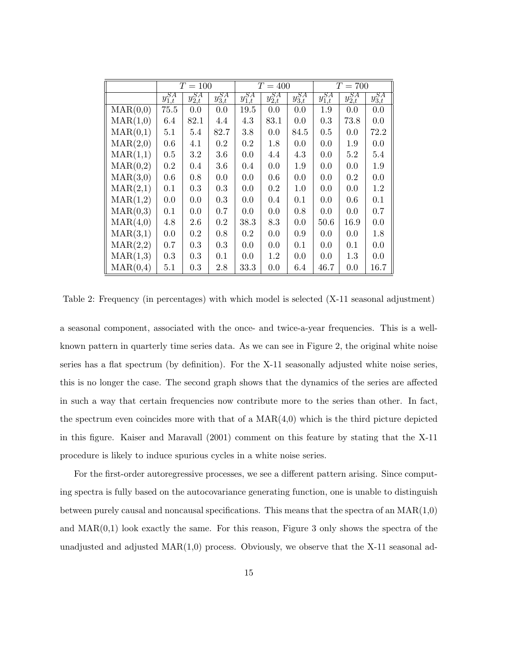|                   | $T = 100$      |                |                | $T=400$        |                |                | $T=700$        |                |                |
|-------------------|----------------|----------------|----------------|----------------|----------------|----------------|----------------|----------------|----------------|
|                   | $y_{1,t}^{SA}$ | $y^{SA}_{2,t}$ | $y_{3,t}^{SA}$ | $y_{1,t}^{SA}$ | $y^{SA}_{2,t}$ | $y_{3,t}^{SA}$ | $y_{1,t}^{SA}$ | $y_{2,t}^{SA}$ | $y_{3,t}^{SA}$ |
| $\text{MAR}(0,0)$ | 75.5           | 0.0            | 0.0            | 19.5           | 0.0            | 0.0            | 1.9            | 0.0            | 0.0            |
| $\text{MAR}(1,0)$ | 6.4            | 82.1           | 4.4            | 4.3            | 83.1           | 0.0            | 0.3            | 73.8           | 0.0            |
| $\text{MAR}(0,1)$ | 5.1            | 5.4            | 82.7           | 3.8            | 0.0            | 84.5           | 0.5            | 0.0            | 72.2           |
| $\text{MAR}(2,0)$ | 0.6            | 4.1            | 0.2            | 0.2            | 1.8            | 0.0            | 0.0            | 1.9            | 0.0            |
| $\text{MAR}(1,1)$ | 0.5            | $3.2\,$        | 3.6            | 0.0            | 4.4            | 4.3            | 0.0            | $5.2\,$        | 5.4            |
| $\text{MAR}(0,2)$ | 0.2            | 0.4            | 3.6            | 0.4            | 0.0            | 1.9            | 0.0            | 0.0            | 1.9            |
| $\text{MAR}(3,0)$ | 0.6            | 0.8            | 0.0            | 0.0            | 0.6            | 0.0            | 0.0            | 0.2            | 0.0            |
| $\text{MAR}(2,1)$ | 0.1            | 0.3            | 0.3            | 0.0            | 0.2            | 1.0            | 0.0            | 0.0            | 1.2            |
| $\text{MAR}(1,2)$ | 0.0            | 0.0            | 0.3            | 0.0            | 0.4            | 0.1            | 0.0            | 0.6            | 0.1            |
| $\text{MAR}(0,3)$ | 0.1            | 0.0            | 0.7            | 0.0            | 0.0            | 0.8            | 0.0            | 0.0            | 0.7            |
| $\text{MAR}(4,0)$ | 4.8            | 2.6            | 0.2            | 38.3           | 8.3            | 0.0            | 50.6           | 16.9           | 0.0            |
| $\text{MAR}(3,1)$ | 0.0            | $0.2\,$        | 0.8            | $0.2\,$        | 0.0            | 0.9            | 0.0            | 0.0            | 1.8            |
| MAR(2,2)          | 0.7            | 0.3            | 0.3            | 0.0            | 0.0            | 0.1            | 0.0            | 0.1            | 0.0            |
| $\text{MAR}(1,3)$ | 0.3            | 0.3            | 0.1            | 0.0            | 1.2            | 0.0            | 0.0            | 1.3            | 0.0            |
| $\text{MAR}(0,4)$ | 5.1            | 0.3            | 2.8            | 33.3           | 0.0            | 6.4            | 46.7           | 0.0            | 16.7           |

Table 2: Frequency (in percentages) with which model is selected (X-11 seasonal adjustment)

a seasonal component, associated with the once- and twice-a-year frequencies. This is a wellknown pattern in quarterly time series data. As we can see in Figure 2, the original white noise series has a flat spectrum (by definition). For the X-11 seasonally adjusted white noise series, this is no longer the case. The second graph shows that the dynamics of the series are affected in such a way that certain frequencies now contribute more to the series than other. In fact, the spectrum even coincides more with that of a  $MAR(4,0)$  which is the third picture depicted in this figure. Kaiser and Maravall (2001) comment on this feature by stating that the X-11 procedure is likely to induce spurious cycles in a white noise series.

For the first-order autoregressive processes, we see a different pattern arising. Since computing spectra is fully based on the autocovariance generating function, one is unable to distinguish between purely causal and noncausal specifications. This means that the spectra of an  $MAR(1,0)$ and  $MAR(0,1)$  look exactly the same. For this reason, Figure 3 only shows the spectra of the unadjusted and adjusted  $MAR(1,0)$  process. Obviously, we observe that the X-11 seasonal ad-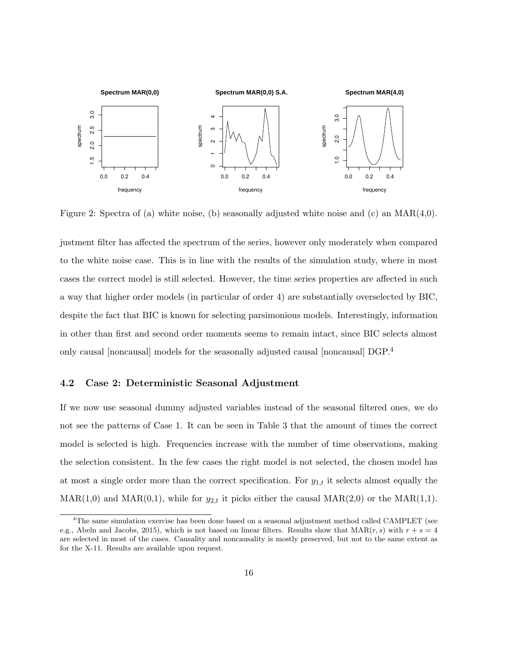

Figure 2: Spectra of (a) white noise, (b) seasonally adjusted white noise and (c) an MAR(4,0).

justment filter has affected the spectrum of the series, however only moderately when compared to the white noise case. This is in line with the results of the simulation study, where in most cases the correct model is still selected. However, the time series properties are affected in such a way that higher order models (in particular of order 4) are substantially overselected by BIC, despite the fact that BIC is known for selecting parsimonious models. Interestingly, information in other than first and second order moments seems to remain intact, since BIC selects almost only causal [noncausal] models for the seasonally adjusted causal [noncausal] DGP.<sup>4</sup>

### 4.2 Case 2: Deterministic Seasonal Adjustment

If we now use seasonal dummy adjusted variables instead of the seasonal filtered ones, we do not see the patterns of Case 1. It can be seen in Table 3 that the amount of times the correct model is selected is high. Frequencies increase with the number of time observations, making the selection consistent. In the few cases the right model is not selected, the chosen model has at most a single order more than the correct specification. For  $y_{1,t}$  it selects almost equally the  $MAR(1,0)$  and  $MAR(0,1)$ , while for  $y_{2,t}$  it picks either the causal  $MAR(2,0)$  or the  $MAR(1,1)$ .

 $4$ The same simulation exercise has been done based on a seasonal adjustment method called CAMPLET (see e.g., Abeln and Jacobs, 2015), which is not based on linear filters. Results show that  $\text{MAR}(r, s)$  with  $r + s = 4$ are selected in most of the cases. Causality and noncausality is mostly preserved, but not to the same extent as for the X-11. Results are available upon request.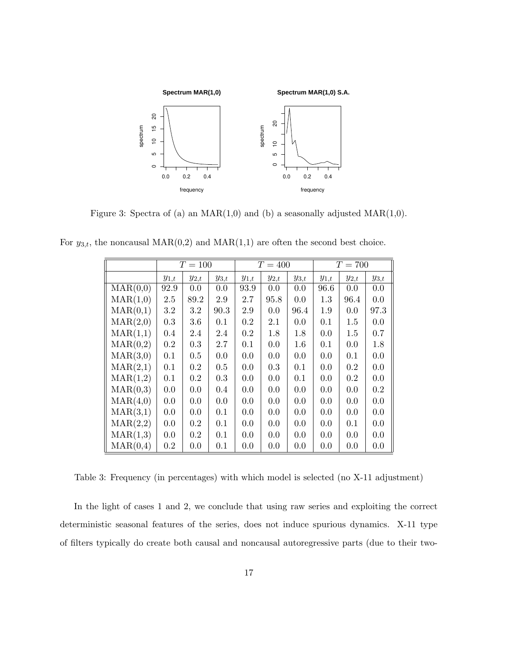

Figure 3: Spectra of (a) an  $MAR(1,0)$  and (b) a seasonally adjusted  $MAR(1,0)$ .

|                   | $T = 100$ |           |           | $T = 400$ |           |           | $T = 700$ |           |           |
|-------------------|-----------|-----------|-----------|-----------|-----------|-----------|-----------|-----------|-----------|
|                   | $y_{1,t}$ | $y_{2,t}$ | $y_{3,t}$ | $y_{1,t}$ | $y_{2,t}$ | $y_{3,t}$ | $y_{1,t}$ | $y_{2,t}$ | $y_{3,t}$ |
| $\text{MAR}(0,0)$ | 92.9      | 0.0       | 0.0       | 93.9      | 0.0       | 0.0       | 96.6      | 0.0       | 0.0       |
| $\text{MAR}(1,0)$ | $2.5\,$   | 89.2      | 2.9       | 2.7       | 95.8      | 0.0       | 1.3       | 96.4      | 0.0       |
| $\text{MAR}(0,1)$ | 3.2       | 3.2       | 90.3      | 2.9       | 0.0       | 96.4      | 1.9       | 0.0       | 97.3      |
| $\text{MAR}(2,0)$ | 0.3       | 3.6       | 0.1       | $0.2\,$   | 2.1       | 0.0       | 0.1       | 1.5       | 0.0       |
| $\text{MAR}(1,1)$ | 0.4       | 2.4       | 2.4       | $0.2\,$   | 1.8       | 1.8       | 0.0       | $1.5\,$   | 0.7       |
| $\text{MAR}(0,2)$ | $0.2\,$   | 0.3       | 2.7       | 0.1       | 0.0       | 1.6       | 0.1       | 0.0       | 1.8       |
| $\text{MAR}(3,0)$ | 0.1       | $0.5\,$   | 0.0       | 0.0       | 0.0       | 0.0       | 0.0       | 0.1       | 0.0       |
| $\text{MAR}(2,1)$ | 0.1       | 0.2       | 0.5       | 0.0       | 0.3       | 0.1       | 0.0       | 0.2       | 0.0       |
| MAR(1,2)          | 0.1       | 0.2       | 0.3       | 0.0       | 0.0       | 0.1       | 0.0       | 0.2       | 0.0       |
| $\text{MAR}(0,3)$ | 0.0       | 0.0       | 0.4       | 0.0       | 0.0       | 0.0       | 0.0       | 0.0       | $0.2\,$   |
| $\text{MAR}(4,0)$ | 0.0       | 0.0       | 0.0       | 0.0       | 0.0       | 0.0       | 0.0       | 0.0       | 0.0       |
| $\text{MAR}(3,1)$ | 0.0       | 0.0       | 0.1       | 0.0       | 0.0       | 0.0       | 0.0       | 0.0       | 0.0       |
| $\text{MAR}(2,2)$ | 0.0       | $0.2\,$   | 0.1       | 0.0       | 0.0       | 0.0       | 0.0       | 0.1       | 0.0       |
| $\text{MAR}(1,3)$ | $0.0\,$   | $0.2\,$   | 0.1       | 0.0       | 0.0       | 0.0       | 0.0       | 0.0       | 0.0       |
| $\text{MAR}(0,4)$ | $0.2\,$   | 0.0       | 0.1       | 0.0       | 0.0       | 0.0       | 0.0       | 0.0       | 0.0       |

For  $y_{3,t}$ , the noncausal  $\text{MAR}(0,2)$  and  $\text{MAR}(1,1)$  are often the second best choice.

Table 3: Frequency (in percentages) with which model is selected (no X-11 adjustment)

In the light of cases 1 and 2, we conclude that using raw series and exploiting the correct deterministic seasonal features of the series, does not induce spurious dynamics. X-11 type of filters typically do create both causal and noncausal autoregressive parts (due to their two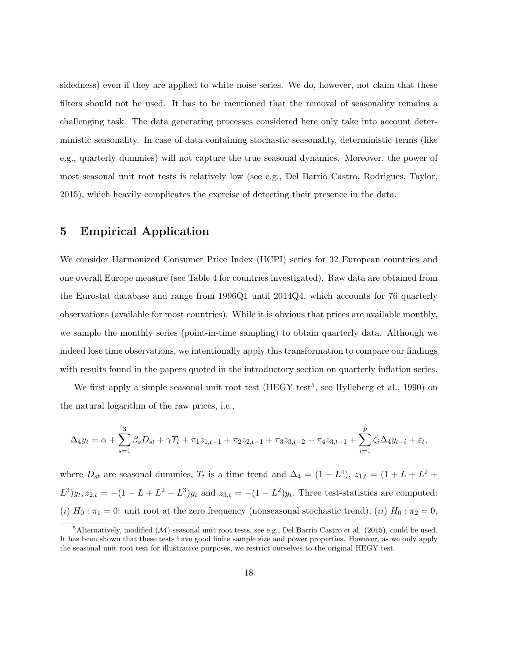sidedness) even if they are applied to white noise series. We do, however, not claim that these filters should not be used. It has to be mentioned that the removal of seasonality remains a challenging task. The data generating processes considered here only take into account deterministic seasonality. In case of data containing stochastic seasonality, deterministic terms (like e.g., quarterly dummies) will not capture the true seasonal dynamics. Moreover, the power of most seasonal unit root tests is relatively low (see e.g., Del Barrio Castro, Rodrigues, Taylor, 2015), which heavily complicates the exercise of detecting their presence in the data.

## 5 Empirical Application

We consider Harmonized Consumer Price Index (HCPI) series for 32 European countries and one overall Europe measure (see Table 4 for countries investigated). Raw data are obtained from the Eurostat database and range from 1996Q1 until 2014Q4, which accounts for 76 quarterly observations (available for most countries). While it is obvious that prices are available monthly, we sample the monthly series (point-in-time sampling) to obtain quarterly data. Although we indeed lose time observations, we intentionally apply this transformation to compare our findings with results found in the papers quoted in the introductory section on quarterly inflation series.

We first apply a simple seasonal unit root test  $(HEGY \text{ test}^5, \text{ see Hylleberg et al., 1990})$  on the natural logarithm of the raw prices, i.e.,

$$
\Delta_4 y_t = \alpha + \sum_{s=1}^3 \beta_s D_{st} + \gamma T_t + \pi_1 z_{1,t-1} + \pi_2 z_{2,t-1} + \pi_3 z_{3,t-2} + \pi_4 z_{3,t-1} + \sum_{i=1}^p \zeta_i \Delta_4 y_{t-i} + \varepsilon_t,
$$

where  $D_{st}$  are seasonal dummies,  $T_t$  is a time trend and  $\Delta_4 = (1 - L^4)$ ,  $z_{1,t} = (1 + L + L^2 +$  $L^{3})y_{t}, z_{2,t} = -(1 - L + L^{2} - L^{3})y_{t}$  and  $z_{3,t} = -(1 - L^{2})y_{t}$ . Three test-statistics are computed: (i)  $H_0: \pi_1 = 0$ : unit root at the zero frequency (nonseasonal stochastic trend), (ii)  $H_0: \pi_2 = 0$ ,

 ${}^5$ Alternatively, modified (M) seasonal unit root tests, see e.g., Del Barrio Castro et al. (2015), could be used. It has been shown that these tests have good finite sample size and power properties. However, as we only apply the seasonal unit root test for illustrative purposes, we restrict ourselves to the original HEGY test.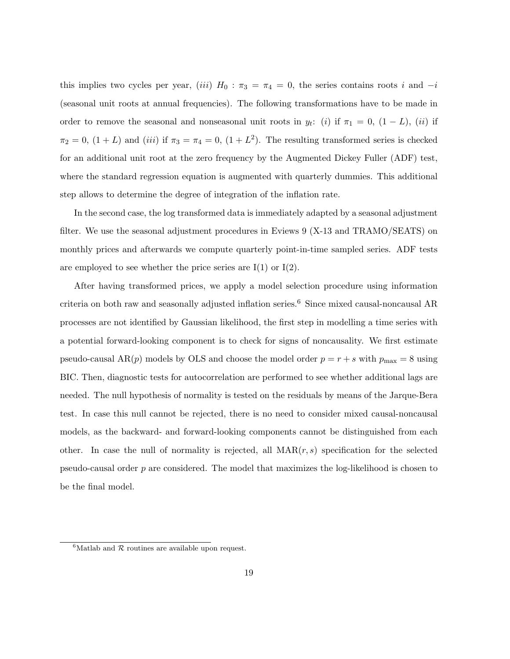this implies two cycles per year, (iii)  $H_0$ :  $\pi_3 = \pi_4 = 0$ , the series contains roots i and  $-i$ (seasonal unit roots at annual frequencies). The following transformations have to be made in order to remove the seasonal and nonseasonal unit roots in  $y_t$ : (i) if  $\pi_1 = 0$ ,  $(1 - L)$ , (ii) if  $\pi_2 = 0$ ,  $(1 + L)$  and  $(iii)$  if  $\pi_3 = \pi_4 = 0$ ,  $(1 + L^2)$ . The resulting transformed series is checked for an additional unit root at the zero frequency by the Augmented Dickey Fuller (ADF) test, where the standard regression equation is augmented with quarterly dummies. This additional step allows to determine the degree of integration of the inflation rate.

In the second case, the log transformed data is immediately adapted by a seasonal adjustment filter. We use the seasonal adjustment procedures in Eviews 9 (X-13 and TRAMO/SEATS) on monthly prices and afterwards we compute quarterly point-in-time sampled series. ADF tests are employed to see whether the price series are  $I(1)$  or  $I(2)$ .

After having transformed prices, we apply a model selection procedure using information criteria on both raw and seasonally adjusted inflation series.<sup>6</sup> Since mixed causal-noncausal AR processes are not identified by Gaussian likelihood, the first step in modelling a time series with a potential forward-looking component is to check for signs of noncausality. We first estimate pseudo-causal AR(p) models by OLS and choose the model order  $p = r + s$  with  $p_{\text{max}} = 8$  using BIC. Then, diagnostic tests for autocorrelation are performed to see whether additional lags are needed. The null hypothesis of normality is tested on the residuals by means of the Jarque-Bera test. In case this null cannot be rejected, there is no need to consider mixed causal-noncausal models, as the backward- and forward-looking components cannot be distinguished from each other. In case the null of normality is rejected, all  $\text{MAR}(r, s)$  specification for the selected pseudo-causal order p are considered. The model that maximizes the log-likelihood is chosen to be the final model.

 ${}^{6}$ Matlab and  $R$  routines are available upon request.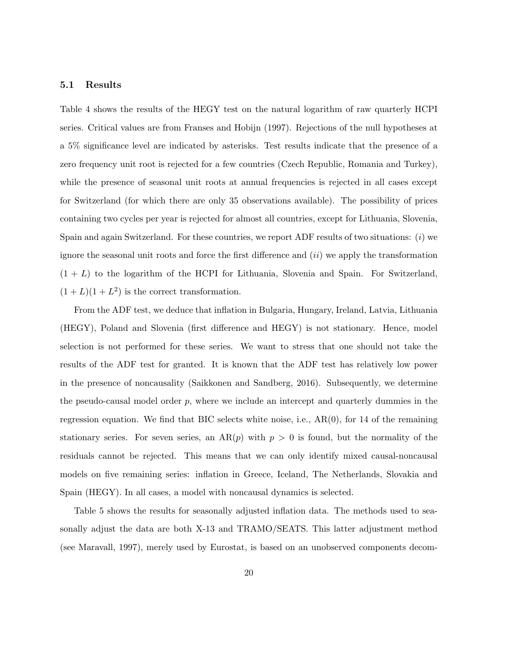#### 5.1 Results

Table 4 shows the results of the HEGY test on the natural logarithm of raw quarterly HCPI series. Critical values are from Franses and Hobijn (1997). Rejections of the null hypotheses at a 5% significance level are indicated by asterisks. Test results indicate that the presence of a zero frequency unit root is rejected for a few countries (Czech Republic, Romania and Turkey), while the presence of seasonal unit roots at annual frequencies is rejected in all cases except for Switzerland (for which there are only 35 observations available). The possibility of prices containing two cycles per year is rejected for almost all countries, except for Lithuania, Slovenia, Spain and again Switzerland. For these countries, we report ADF results of two situations: (i) we ignore the seasonal unit roots and force the first difference and  $(ii)$  we apply the transformation  $(1 + L)$  to the logarithm of the HCPI for Lithuania, Slovenia and Spain. For Switzerland,  $(1+L)(1+L^2)$  is the correct transformation.

From the ADF test, we deduce that inflation in Bulgaria, Hungary, Ireland, Latvia, Lithuania (HEGY), Poland and Slovenia (first difference and HEGY) is not stationary. Hence, model selection is not performed for these series. We want to stress that one should not take the results of the ADF test for granted. It is known that the ADF test has relatively low power in the presence of noncausality (Saikkonen and Sandberg, 2016). Subsequently, we determine the pseudo-causal model order  $p$ , where we include an intercept and quarterly dummies in the regression equation. We find that BIC selects white noise, i.e.,  $AR(0)$ , for 14 of the remaining stationary series. For seven series, an  $AR(p)$  with  $p > 0$  is found, but the normality of the residuals cannot be rejected. This means that we can only identify mixed causal-noncausal models on five remaining series: inflation in Greece, Iceland, The Netherlands, Slovakia and Spain (HEGY). In all cases, a model with noncausal dynamics is selected.

Table 5 shows the results for seasonally adjusted inflation data. The methods used to seasonally adjust the data are both X-13 and TRAMO/SEATS. This latter adjustment method (see Maravall, 1997), merely used by Eurostat, is based on an unobserved components decom-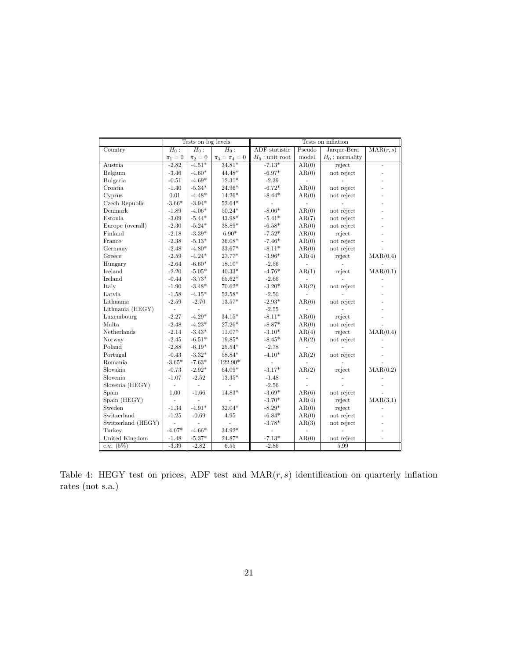|                    |                | Tests on log levels |                     | Tests on inflation |        |                   |                          |  |  |
|--------------------|----------------|---------------------|---------------------|--------------------|--------|-------------------|--------------------------|--|--|
| Country            | $H_0$ :        | $H_0$ :             | $H_0$ :             | ADF statistic      | Pseudo | Jarque-Bera       | $\text{MAR}(r, s)$       |  |  |
|                    | $\pi_1=0$      | $\pi_2=0$           | $\pi_3 = \pi_4 = 0$ | $H_0$ : unit root  | model  | $H_0$ : normality |                          |  |  |
| Austria            | $-2.82$        | $-4.51*$            | $34.81*$            | $-7.13*$           | AR(0)  | reject            | ÷,                       |  |  |
| Belgium            | $-3.46$        | $-4.60*$            | $44.48*$            | $-6.97*$           | AR(0)  | not reject        | $\overline{\phantom{m}}$ |  |  |
| Bulgaria           | $-0.51$        | $-4.69*$            | $12.31*$            | $-2.39$            |        |                   |                          |  |  |
| Croatia            | $-1.40$        | $-5.34*$            | 24.96*              | $-6.72*$           | AR(0)  | not reject        |                          |  |  |
| Cyprus             | 0.01           | $-4.48*$            | $14.26*$            | $-8.44*$           | AR(0)  | not reject        |                          |  |  |
| Czech Republic     | $-3.66*$       | $-3.94*$            | $52.64*$            |                    |        |                   |                          |  |  |
| Denmark            | $-1.89$        | $-4.06*$            | $50.24*$            | $-8.06*$           | AR(0)  | not reject        |                          |  |  |
| Estonia            | $-3.09$        | $-5.44*$            | $43.98*$            | $-5.41*$           | AR(7)  | not reject        |                          |  |  |
| Europe (overall)   | $-2.30$        | $-5.24*$            | 38.89*              | $-6.58*$           | AR(0)  | not reject        |                          |  |  |
| Finland            | $-2.18$        | $-3.39*$            | $6.90*$             | $-7.52*$           | AR(0)  | reject            |                          |  |  |
| France             | $-2.38$        | $-5.13*$            | $36.08*$            | $-7.46*$           | AR(0)  | not reject        |                          |  |  |
| Germany            | $-2.48$        | $-4.80*$            | $33.67*$            | $-8.11*$           | AR(0)  | not reject        |                          |  |  |
| Greece             | $-2.59$        | $-4.24*$            | 27.77*              | $-3.96*$           | AR(4)  | reject            | $\text{MAR}(0,4)$        |  |  |
| Hungary            | $-2.64$        | $-6.60*$            | $18.10*$            | $-2.56$            |        |                   |                          |  |  |
| Iceland            | $-2.20$        | $-5.05*$            | $40.33*$            | $-4.76*$           | AR(1)  | reject            | $\text{MAR}(0,1)$        |  |  |
| Ireland            | $-0.44$        | $-3.73*$            | $65.62*$            | $-2.66$            |        |                   |                          |  |  |
| Italy              | $-1.90$        | $-3.48*$            | $70.62*$            | $-3.20*$           | AR(2)  | not reject        |                          |  |  |
| Latvia             | $-1.58$        | $-4.15*$            | $52.58*$            | $-2.50$            |        |                   |                          |  |  |
| Lithuania          | $-2.59$        | $-2.70$             | $13.57*$            | $-2.93*$           | AR(6)  | not reject        |                          |  |  |
| Lithuania (HEGY)   |                |                     | $\blacksquare$      | $-2.55$            |        |                   |                          |  |  |
| Luxembourg         | $-2.27$        | $-4.29*$            | $34.15*$            | $-8.11*$           | AR(0)  | reject            |                          |  |  |
| Malta              | $-2.48$        | $-4.23*$            | $27.26*$            | $-8.87*$           | AR(0)  | not reject        |                          |  |  |
| Netherlands        | $-2.14$        | $-3.43*$            | $11.07*$            | $-3.10*$           | AR(4)  | reject            | $\text{MAR}(0,4)$        |  |  |
| Norway             | $-2.45$        | $-6.51*$            | $19.85*$            | $-8.45*$           | AR(2)  | not reject        |                          |  |  |
| Poland             | $-2.88$        | $-6.19*$            | $25.54*$            | $-2.78$            |        |                   |                          |  |  |
| Portugal           | $-0.43$        | $-3.32*$            | $58.84*$            | $-4.10*$           | AR(2)  | not reject        |                          |  |  |
| Romania            | $-3.65*$       | $-7.63*$            | 122.90*             |                    |        |                   |                          |  |  |
| Slovakia           | $-0.73$        | $-2.92*$            | $64.09*$            | $-3.17*$           | AR(2)  | reject            | $\text{MAR}(0,2)$        |  |  |
| Slovenia           | $-1.07$        | $-2.52$             | $13.35*$            | $-1.48$            |        |                   |                          |  |  |
| Slovenia (HEGY)    | $\frac{1}{2}$  |                     |                     | $-2.56$            |        |                   |                          |  |  |
| Spain              | 1.00           | $-1.66$             | 14.83*              | $-3.69*$           | AR(6)  | not reject        |                          |  |  |
| Spain (HEGY)       |                |                     |                     | $-3.70*$           | AR(4)  | reject            | $\text{MAR}(3,1)$        |  |  |
| Sweden             | $-1.34$        | $-4.91*$            | $32.04*$            | $-8.29*$           | AR(0)  | reject            |                          |  |  |
| Switzerland        | $-1.25$        | $-0.69$             | 4.95                | $-6.84*$           | AR(0)  | not reject        |                          |  |  |
| Switzerland (HEGY) | $\blacksquare$ |                     |                     | $-3.78*$           | AR(3)  | not reject        |                          |  |  |
| Turkey             | $-4.07*$       | $-4.66*$            | $34.92*$            |                    |        |                   |                          |  |  |
| United Kingdom     | $-1.48$        | $-5.37*$            | $24.87*$            | $\text{-}7.13^*$   | AR(0)  | not reject        |                          |  |  |
| c.v. $(5%)$        | $-3.39$        | $-2.82$             | 6.55                | $-2.86$            |        | 5.99              |                          |  |  |

Table 4: HEGY test on prices, ADF test and  $\text{MAR}(r, s)$  identification on quarterly inflation rates (not s.a.)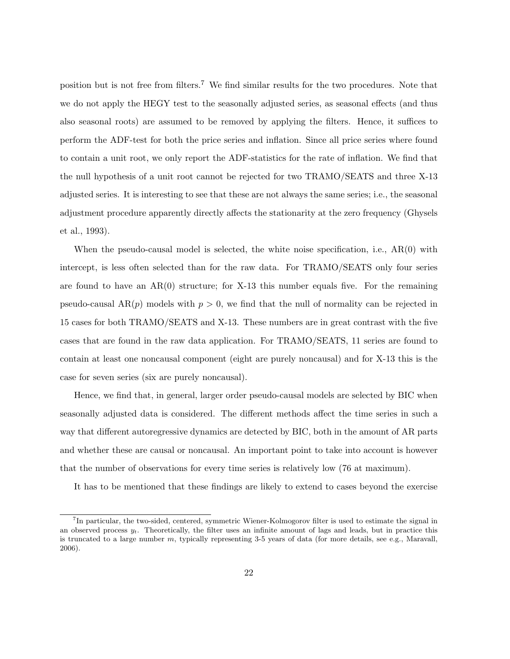position but is not free from filters.<sup>7</sup> We find similar results for the two procedures. Note that we do not apply the HEGY test to the seasonally adjusted series, as seasonal effects (and thus also seasonal roots) are assumed to be removed by applying the filters. Hence, it suffices to perform the ADF-test for both the price series and inflation. Since all price series where found to contain a unit root, we only report the ADF-statistics for the rate of inflation. We find that the null hypothesis of a unit root cannot be rejected for two TRAMO/SEATS and three X-13 adjusted series. It is interesting to see that these are not always the same series; i.e., the seasonal adjustment procedure apparently directly affects the stationarity at the zero frequency (Ghysels et al., 1993).

When the pseudo-causal model is selected, the white noise specification, i.e.,  $AR(0)$  with intercept, is less often selected than for the raw data. For TRAMO/SEATS only four series are found to have an  $AR(0)$  structure; for X-13 this number equals five. For the remaining pseudo-causal  $AR(p)$  models with  $p > 0$ , we find that the null of normality can be rejected in 15 cases for both TRAMO/SEATS and X-13. These numbers are in great contrast with the five cases that are found in the raw data application. For TRAMO/SEATS, 11 series are found to contain at least one noncausal component (eight are purely noncausal) and for X-13 this is the case for seven series (six are purely noncausal).

Hence, we find that, in general, larger order pseudo-causal models are selected by BIC when seasonally adjusted data is considered. The different methods affect the time series in such a way that different autoregressive dynamics are detected by BIC, both in the amount of AR parts and whether these are causal or noncausal. An important point to take into account is however that the number of observations for every time series is relatively low (76 at maximum).

It has to be mentioned that these findings are likely to extend to cases beyond the exercise

<sup>&</sup>lt;sup>7</sup>In particular, the two-sided, centered, symmetric Wiener-Kolmogorov filter is used to estimate the signal in an observed process  $y_t$ . Theoretically, the filter uses an infinite amount of lags and leads, but in practice this is truncated to a large number m, typically representing 3-5 years of data (for more details, see e.g., Maravall, 2006).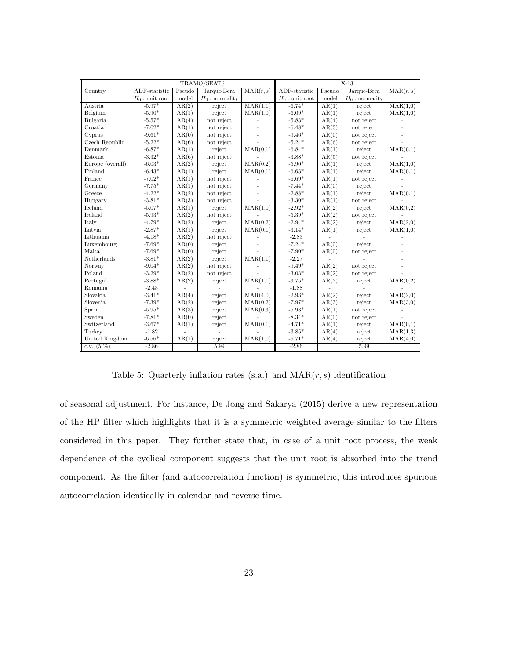|                  |                   | TRAMO/SEATS |                   | $X-13$                       |                   |        |                   |                   |
|------------------|-------------------|-------------|-------------------|------------------------------|-------------------|--------|-------------------|-------------------|
| Country          | ADF-statistic     | Pseudo      | Jarque-Bera       | $\overline{\text{MAR}(r,s)}$ | ADF-statistic     | Pseudo | Jarque-Bera       | $\text{MAR}(r,s)$ |
|                  | $H_0$ : unit root | model       | $H_0$ : normality |                              | $H_0$ : unit root | model  | $H_0$ : normality |                   |
| Austria          | $-5.97*$          | AR(2)       | reject            | MAR(1,1)                     | $-6.74*$          | AR(1)  | reject            | MAR(1,0)          |
| Belgium          | $-5.90*$          | AR(1)       | reject            | $\text{MAR}(1,0)$            | $-6.09*$          | AR(1)  | reject            | $\text{MAR}(1,0)$ |
| Bulgaria         | $-5.57*$          | AR(4)       | not reject        |                              | $-5.83*$          | AR(4)  | not reject        |                   |
| Croatia          | $-7.02*$          | AR(1)       | not reject        |                              | $-6.48*$          | AR(3)  | not reject        |                   |
| Cyprus           | $-9.61*$          | AR(0)       | not reject        |                              | $-9.46*$          | AR(0)  | not reject        |                   |
| Czech Republic   | $-5.22*$          | AR(6)       | not reject        |                              | $-5.24*$          | AR(6)  | not reject        |                   |
| Denmark          | $-6.87*$          | AR(1)       | reject            | $\text{MAR}(0,1)$            | $-6.84*$          | AR(1)  | reject            | $\text{MAR}(0,1)$ |
| Estonia          | $-3.32*$          | AR(6)       | not reject        |                              | $-3.88*$          | AR(5)  | not reject        |                   |
| Europe (overall) | $-6.03*$          | AR(2)       | reject            | MAR(0,2)                     | $-5.90*$          | AR(1)  | reject            | MAR(1,0)          |
| Finland          | $-6.43*$          | AR(1)       | reject            | $\text{MAR}(0,1)$            | $-6.63*$          | AR(1)  | reject            | $\text{MAR}(0,1)$ |
| France           | $-7.02*$          | AR(1)       | not reject        |                              | $-6.69*$          | AR(1)  | not reject        |                   |
| Germany          | $-7.75*$          | AR(1)       | not reject        |                              | $-7.44*$          | AR(0)  | reject            |                   |
| Greece           | $-4.22*$          | AR(2)       | not reject        |                              | $-2.88*$          | AR(1)  | reject            | $\text{MAR}(0,1)$ |
| Hungary          | $-3.81*$          | AR(3)       | not reject        |                              | $-3.30*$          | AR(1)  | not reject        |                   |
| Iceland          | $-5.07*$          | AR(1)       | reject            | MAR(1,0)                     | $-2.92*$          | AR(2)  | reject            | $\text{MAR}(0,2)$ |
| Ireland          | $-5.93*$          | AR(2)       | not reject        |                              | $-5.39*$          | AR(2)  | not reject        |                   |
| Italy            | $-4.79*$          | AR(2)       | reject            | $\text{MAR}(0,2)$            | $-2.94*$          | AR(2)  | reject            | $\text{MAR}(2,0)$ |
| Latvia           | $-2.87*$          | AR(1)       | reject            | $\text{MAR}(0,1)$            | $-3.14*$          | AR(1)  | reject            | MAR(1,0)          |
| Lithuania        | $-4.18*$          | AR(2)       | not reject        |                              | $-2.83$           |        |                   |                   |
| Luxembourg       | $-7.69*$          | AR(0)       | reject            |                              | $-7.24*$          | AR(0)  | reject            |                   |
| Malta            | $-7.69*$          | AR(0)       | reject            |                              | $-7.90*$          | AR(0)  | not reject        |                   |
| Netherlands      | $-3.81*$          | AR(2)       | reject            | MAR(1,1)                     | $-2.27$           |        |                   |                   |
| Norway           | $-9.04*$          | AR(2)       | not reject        |                              | $-9.49*$          | AR(2)  | not reject        |                   |
| Poland           | $-3.29*$          | AR(2)       | not reject        |                              | $-3.03*$          | AR(2)  | not reject        |                   |
| Portugal         | $-3.88*$          | AR(2)       | reject            | MAR(1,1)                     | $-3.75*$          | AR(2)  | reject            | $\text{MAR}(0,2)$ |
| Romania          | $-2.43$           |             |                   |                              | $-1.88$           |        |                   |                   |
| Slovakia         | $-3.41*$          | AR(4)       | reject            | $\text{MAR}(4,0)$            | $-2.93*$          | AR(2)  | reject            | $\text{MAR}(2,0)$ |
| Slovenia         | $-7.39*$          | AR(2)       | reject            | MAR(0,2)                     | $-7.97*$          | AR(3)  | reject            | MAR(3,0)          |
| Spain            | $-5.95*$          | AR(3)       | reject            | $\text{MAR}(0,3)$            | $-5.93*$          | AR(1)  | not reject        |                   |
| Sweden           | $-7.81*$          | AR(0)       | reject            |                              | $-8.34*$          | AR(0)  | not reject        |                   |
| Switzerland      | $-3.67*$          | AR(1)       | reject            | $\text{MAR}(0,1)$            | $-4.71*$          | AR(1)  | reject            | $\text{MAR}(0,1)$ |
| Turkey           | $-1.82$           |             |                   |                              | $-3.85*$          | AR(4)  | reject            | $\text{MAR}(1,3)$ |
| United Kingdom   | $-6.56*$          | AR(1)       | reject            | $\text{MAR}(1,0)$            | $-6.71*$          | AR(4)  | reject            | $\text{MAR}(4,0)$ |
| c.v. $(5 \%)$    | $-2.86$           |             | 5.99              |                              | $-2.86$           |        | 5.99              |                   |

Table 5: Quarterly inflation rates (s.a.) and  $\text{MAR}(r, s)$  identification

of seasonal adjustment. For instance, De Jong and Sakarya (2015) derive a new representation of the HP filter which highlights that it is a symmetric weighted average similar to the filters considered in this paper. They further state that, in case of a unit root process, the weak dependence of the cyclical component suggests that the unit root is absorbed into the trend component. As the filter (and autocorrelation function) is symmetric, this introduces spurious autocorrelation identically in calendar and reverse time.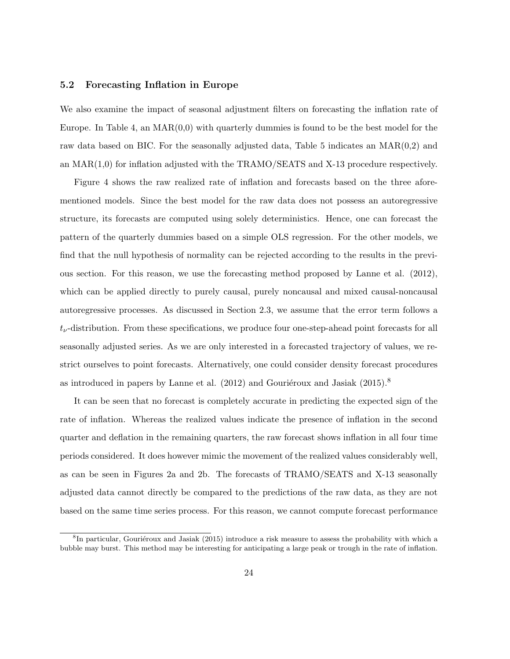### 5.2 Forecasting Inflation in Europe

We also examine the impact of seasonal adjustment filters on forecasting the inflation rate of Europe. In Table 4, an  $MAR(0,0)$  with quarterly dummies is found to be the best model for the raw data based on BIC. For the seasonally adjusted data, Table 5 indicates an MAR(0,2) and an  $\text{MAR}(1,0)$  for inflation adjusted with the TRAMO/SEATS and X-13 procedure respectively.

Figure 4 shows the raw realized rate of inflation and forecasts based on the three aforementioned models. Since the best model for the raw data does not possess an autoregressive structure, its forecasts are computed using solely deterministics. Hence, one can forecast the pattern of the quarterly dummies based on a simple OLS regression. For the other models, we find that the null hypothesis of normality can be rejected according to the results in the previous section. For this reason, we use the forecasting method proposed by Lanne et al. (2012), which can be applied directly to purely causal, purely noncausal and mixed causal-noncausal autoregressive processes. As discussed in Section 2.3, we assume that the error term follows a  $t_{\nu}$ -distribution. From these specifications, we produce four one-step-ahead point forecasts for all seasonally adjusted series. As we are only interested in a forecasted trajectory of values, we restrict ourselves to point forecasts. Alternatively, one could consider density forecast procedures as introduced in papers by Lanne et al.  $(2012)$  and Gouriéroux and Jasiak  $(2015)^8$ 

It can be seen that no forecast is completely accurate in predicting the expected sign of the rate of inflation. Whereas the realized values indicate the presence of inflation in the second quarter and deflation in the remaining quarters, the raw forecast shows inflation in all four time periods considered. It does however mimic the movement of the realized values considerably well, as can be seen in Figures 2a and 2b. The forecasts of TRAMO/SEATS and X-13 seasonally adjusted data cannot directly be compared to the predictions of the raw data, as they are not based on the same time series process. For this reason, we cannot compute forecast performance

<sup>&</sup>lt;sup>8</sup>In particular, Gouriéroux and Jasiak (2015) introduce a risk measure to assess the probability with which a bubble may burst. This method may be interesting for anticipating a large peak or trough in the rate of inflation.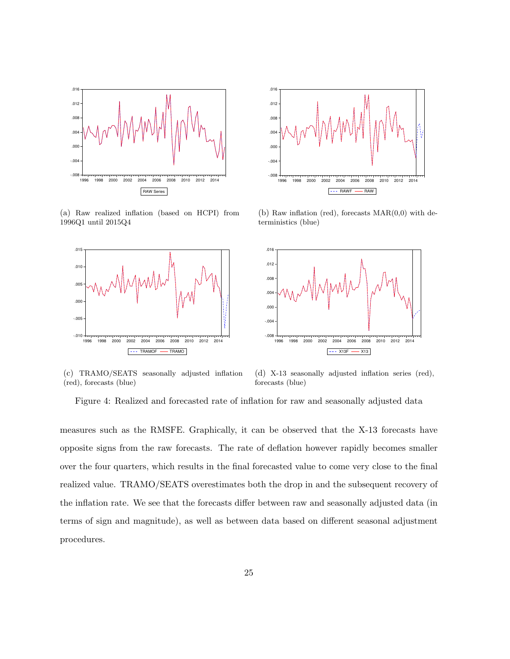

(a) Raw realized inflation (based on HCPI) from 1996Q1 until 2015Q4





(b) Raw inflation (red), forecasts  $MAR(0,0)$  with deterministics (blue)



(c) TRAMO/SEATS seasonally adjusted inflation (red), forecasts (blue)

(d) X-13 seasonally adjusted inflation series (red), forecasts (blue)

measures such as the RMSFE. Graphically, it can be observed that the X-13 forecasts have opposite signs from the raw forecasts. The rate of deflation however rapidly becomes smaller over the four quarters, which results in the final forecasted value to come very close to the final realized value. TRAMO/SEATS overestimates both the drop in and the subsequent recovery of the inflation rate. We see that the forecasts differ between raw and seasonally adjusted data (in terms of sign and magnitude), as well as between data based on different seasonal adjustment procedures.

Figure 4: Realized and forecasted rate of inflation for raw and seasonally adjusted data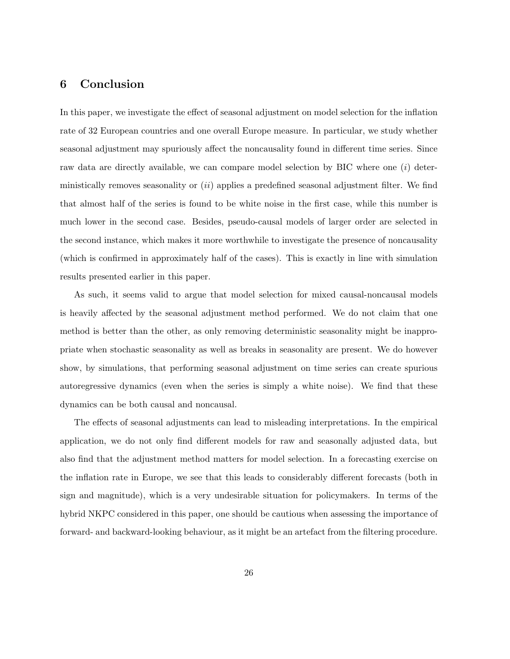## 6 Conclusion

In this paper, we investigate the effect of seasonal adjustment on model selection for the inflation rate of 32 European countries and one overall Europe measure. In particular, we study whether seasonal adjustment may spuriously affect the noncausality found in different time series. Since raw data are directly available, we can compare model selection by BIC where one  $(i)$  deterministically removes seasonality or  $(ii)$  applies a predefined seasonal adjustment filter. We find that almost half of the series is found to be white noise in the first case, while this number is much lower in the second case. Besides, pseudo-causal models of larger order are selected in the second instance, which makes it more worthwhile to investigate the presence of noncausality (which is confirmed in approximately half of the cases). This is exactly in line with simulation results presented earlier in this paper.

As such, it seems valid to argue that model selection for mixed causal-noncausal models is heavily affected by the seasonal adjustment method performed. We do not claim that one method is better than the other, as only removing deterministic seasonality might be inappropriate when stochastic seasonality as well as breaks in seasonality are present. We do however show, by simulations, that performing seasonal adjustment on time series can create spurious autoregressive dynamics (even when the series is simply a white noise). We find that these dynamics can be both causal and noncausal.

The effects of seasonal adjustments can lead to misleading interpretations. In the empirical application, we do not only find different models for raw and seasonally adjusted data, but also find that the adjustment method matters for model selection. In a forecasting exercise on the inflation rate in Europe, we see that this leads to considerably different forecasts (both in sign and magnitude), which is a very undesirable situation for policymakers. In terms of the hybrid NKPC considered in this paper, one should be cautious when assessing the importance of forward- and backward-looking behaviour, as it might be an artefact from the filtering procedure.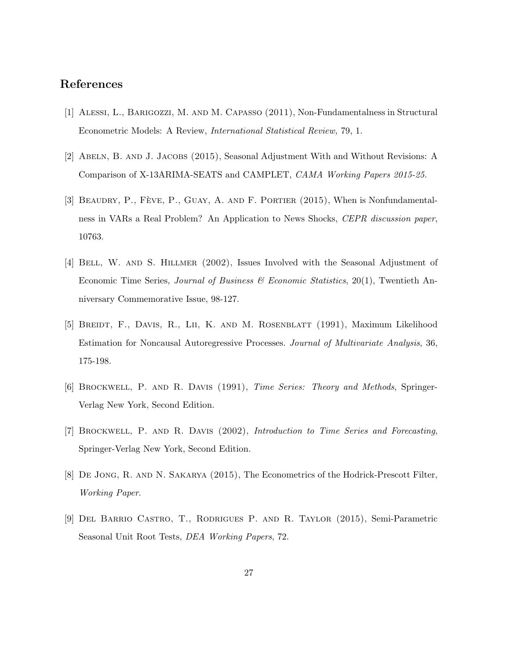## References

- [1] Alessi, L., Barigozzi, M. and M. Capasso (2011), Non-Fundamentalness in Structural Econometric Models: A Review, *International Statistical Review,* 79, 1.
- [2] Abeln, B. and J. Jacobs (2015), Seasonal Adjustment With and Without Revisions: A Comparison of X-13ARIMA-SEATS and CAMPLET, *CAMA Working Papers 2015-25.*
- [3] BEAUDRY, P., FÈVE, P., GUAY, A. AND F. PORTIER (2015), When is Nonfundamentalness in VARs a Real Problem? An Application to News Shocks, *CEPR discussion paper*, 10763.
- [4] Bell, W. and S. Hillmer (2002), Issues Involved with the Seasonal Adjustment of Economic Time Series, *Journal of Business & Economic Statistics*, 20(1), Twentieth Anniversary Commemorative Issue, 98-127.
- [5] Breidt, F., Davis, R., Lii, K. and M. Rosenblatt (1991), Maximum Likelihood Estimation for Noncausal Autoregressive Processes. *Journal of Multivariate Analysis*, 36, 175-198.
- [6] Brockwell, P. and R. Davis (1991), *Time Series: Theory and Methods*, Springer-Verlag New York, Second Edition.
- [7] Brockwell, P. and R. Davis (2002), *Introduction to Time Series and Forecasting*, Springer-Verlag New York, Second Edition.
- [8] De Jong, R. and N. Sakarya (2015), The Econometrics of the Hodrick-Prescott Filter, *Working Paper*.
- [9] Del Barrio Castro, T., Rodrigues P. and R. Taylor (2015), Semi-Parametric Seasonal Unit Root Tests, *DEA Working Papers*, 72.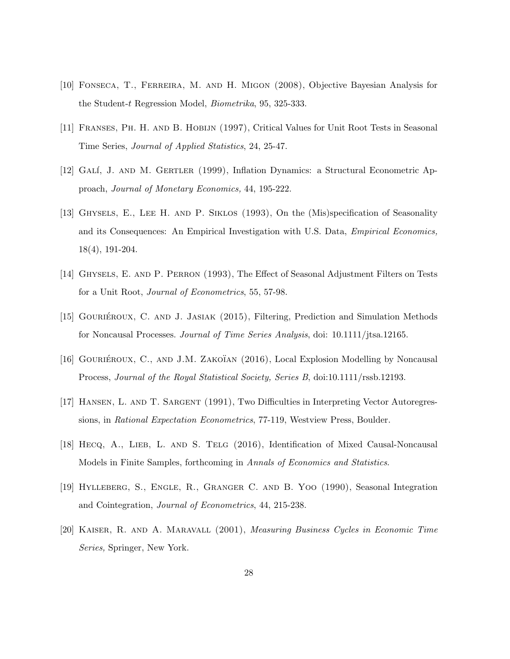- [10] Fonseca, T., Ferreira, M. and H. Migon (2008), Objective Bayesian Analysis for the Student-t Regression Model, *Biometrika*, 95, 325-333.
- [11] Franses, Ph. H. and B. Hobijn (1997), Critical Values for Unit Root Tests in Seasonal Time Series, *Journal of Applied Statistics*, 24, 25-47.
- [12] GALÍ, J. AND M. GERTLER (1999), Inflation Dynamics: a Structural Econometric Approach, *Journal of Monetary Economics,* 44, 195-222.
- [13] Ghysels, E., Lee H. and P. Siklos (1993), On the (Mis)specification of Seasonality and its Consequences: An Empirical Investigation with U.S. Data, *Empirical Economics,* 18(4), 191-204.
- [14] Ghysels, E. and P. Perron (1993), The Effect of Seasonal Adjustment Filters on Tests for a Unit Root, *Journal of Econometrics*, 55, 57-98.
- [15] GOURIÉROUX, C. AND J. JASIAK (2015), Filtering, Prediction and Simulation Methods for Noncausal Processes. *Journal of Time Series Analysis*, doi: 10.1111/jtsa.12165.
- [16] GOURIÉROUX, C., AND J.M. ZAKOTAN  $(2016)$ , Local Explosion Modelling by Noncausal Process, *Journal of the Royal Statistical Society, Series B*, doi:10.1111/rssb.12193.
- [17] Hansen, L. and T. Sargent (1991), Two Difficulties in Interpreting Vector Autoregressions, in *Rational Expectation Econometrics*, 77-119, Westview Press, Boulder.
- [18] HECQ, A., LIEB, L. AND S. TELG (2016), Identification of Mixed Causal-Noncausal Models in Finite Samples, forthcoming in *Annals of Economics and Statistics*.
- [19] Hylleberg, S., Engle, R., Granger C. and B. Yoo (1990), Seasonal Integration and Cointegration, *Journal of Econometrics*, 44, 215-238.
- [20] Kaiser, R. and A. Maravall (2001), *Measuring Business Cycles in Economic Time Series,* Springer, New York.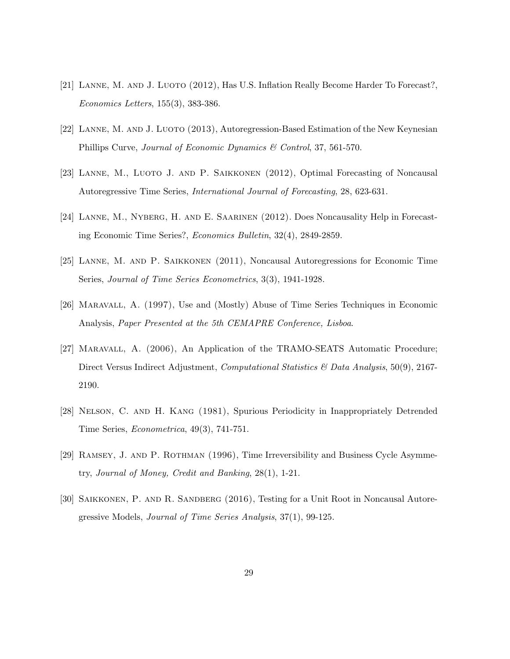- [21] Lanne, M. and J. Luoto (2012), Has U.S. Inflation Really Become Harder To Forecast?, *Economics Letters*, 155(3), 383-386.
- [22] Lanne, M. and J. Luoto (2013), Autoregression-Based Estimation of the New Keynesian Phillips Curve, *Journal of Economic Dynamics & Control*, 37, 561-570.
- [23] Lanne, M., Luoto J. and P. Saikkonen (2012), Optimal Forecasting of Noncausal Autoregressive Time Series, *International Journal of Forecasting*, 28, 623-631.
- [24] Lanne, M., Nyberg, H. and E. Saarinen (2012). Does Noncausality Help in Forecasting Economic Time Series?, *Economics Bulletin*, 32(4), 2849-2859.
- [25] Lanne, M. and P. Saikkonen (2011), Noncausal Autoregressions for Economic Time Series, *Journal of Time Series Econometrics*, 3(3), 1941-1928.
- [26] Maravall, A. (1997), Use and (Mostly) Abuse of Time Series Techniques in Economic Analysis, *Paper Presented at the 5th CEMAPRE Conference, Lisboa*.
- [27] Maravall, A. (2006), An Application of the TRAMO-SEATS Automatic Procedure; Direct Versus Indirect Adjustment, *Computational Statistics & Data Analysis*, 50(9), 2167- 2190.
- [28] Nelson, C. and H. Kang (1981), Spurious Periodicity in Inappropriately Detrended Time Series, *Econometrica*, 49(3), 741-751.
- [29] Ramsey, J. and P. Rothman (1996), Time Irreversibility and Business Cycle Asymmetry, *Journal of Money, Credit and Banking*, 28(1), 1-21.
- [30] Saikkonen, P. and R. Sandberg (2016), Testing for a Unit Root in Noncausal Autoregressive Models, *Journal of Time Series Analysis*, 37(1), 99-125.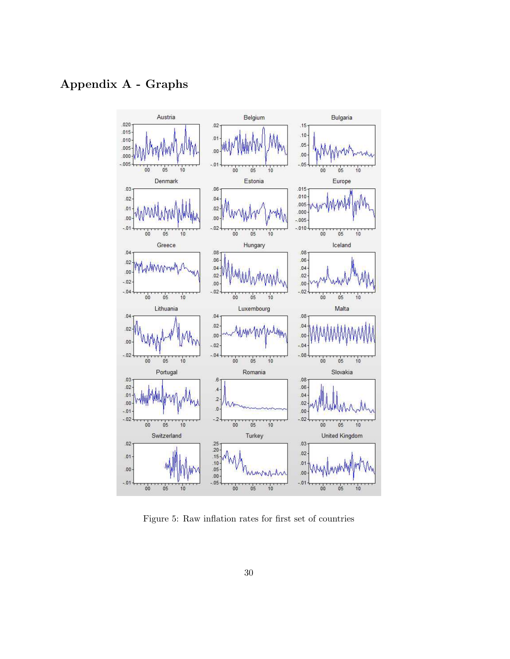## Appendix A - Graphs



Figure 5: Raw inflation rates for first set of countries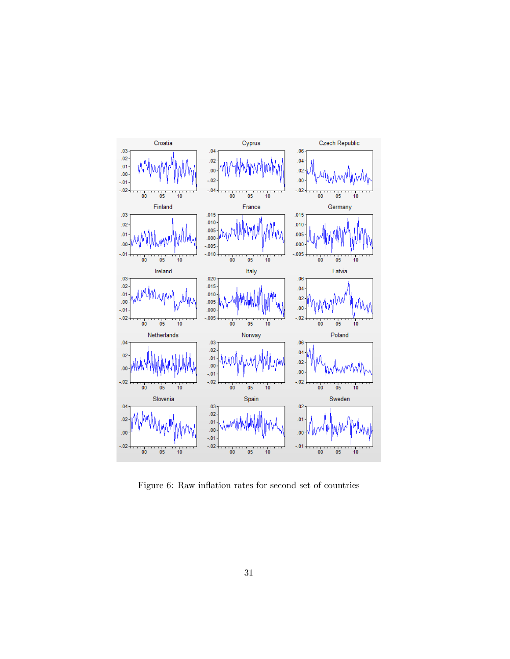

Figure 6: Raw inflation rates for second set of countries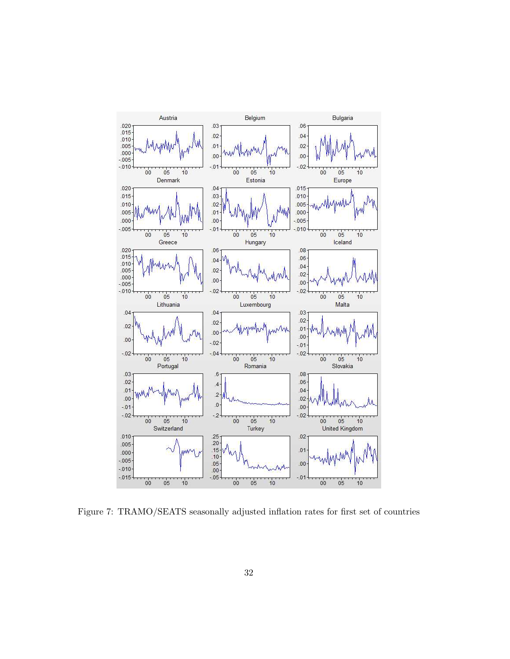

Figure 7: TRAMO/SEATS seasonally adjusted inflation rates for first set of countries